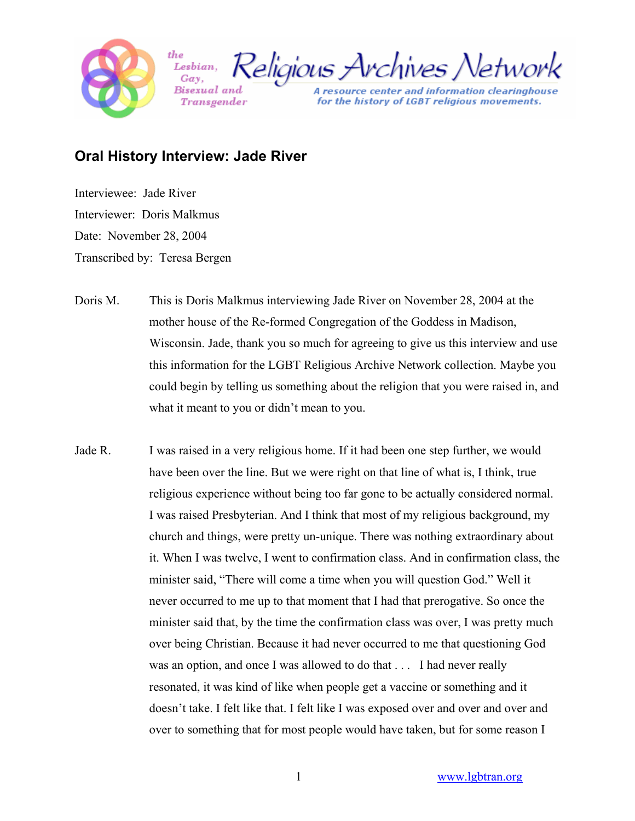

Religious Archives Network Lesbian, Gav.

A resource center and information clearinghouse for the history of LGBT religious movements.

## **Oral History Interview: Jade River**

Bisexual and

Transøender

the

Interviewee: Jade River Interviewer: Doris Malkmus Date: November 28, 2004 Transcribed by: Teresa Bergen

- Doris M. This is Doris Malkmus interviewing Jade River on November 28, 2004 at the mother house of the Re-formed Congregation of the Goddess in Madison, Wisconsin. Jade, thank you so much for agreeing to give us this interview and use this information for the LGBT Religious Archive Network collection. Maybe you could begin by telling us something about the religion that you were raised in, and what it meant to you or didn't mean to you.
- Jade R. I was raised in a very religious home. If it had been one step further, we would have been over the line. But we were right on that line of what is, I think, true religious experience without being too far gone to be actually considered normal. I was raised Presbyterian. And I think that most of my religious background, my church and things, were pretty un-unique. There was nothing extraordinary about it. When I was twelve, I went to confirmation class. And in confirmation class, the minister said, "There will come a time when you will question God." Well it never occurred to me up to that moment that I had that prerogative. So once the minister said that, by the time the confirmation class was over, I was pretty much over being Christian. Because it had never occurred to me that questioning God was an option, and once I was allowed to do that . . . I had never really resonated, it was kind of like when people get a vaccine or something and it doesn't take. I felt like that. I felt like I was exposed over and over and over and over to something that for most people would have taken, but for some reason I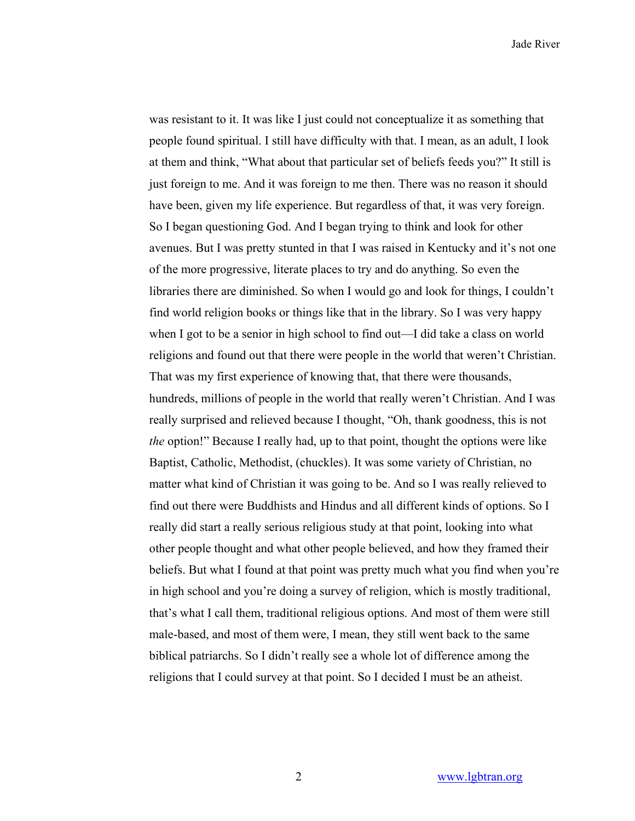was resistant to it. It was like I just could not conceptualize it as something that people found spiritual. I still have difficulty with that. I mean, as an adult, I look at them and think, "What about that particular set of beliefs feeds you?" It still is just foreign to me. And it was foreign to me then. There was no reason it should have been, given my life experience. But regardless of that, it was very foreign. So I began questioning God. And I began trying to think and look for other avenues. But I was pretty stunted in that I was raised in Kentucky and it's not one of the more progressive, literate places to try and do anything. So even the libraries there are diminished. So when I would go and look for things, I couldn't find world religion books or things like that in the library. So I was very happy when I got to be a senior in high school to find out—I did take a class on world religions and found out that there were people in the world that weren't Christian. That was my first experience of knowing that, that there were thousands, hundreds, millions of people in the world that really weren't Christian. And I was really surprised and relieved because I thought, "Oh, thank goodness, this is not *the* option!" Because I really had, up to that point, thought the options were like Baptist, Catholic, Methodist, (chuckles). It was some variety of Christian, no matter what kind of Christian it was going to be. And so I was really relieved to find out there were Buddhists and Hindus and all different kinds of options. So I really did start a really serious religious study at that point, looking into what other people thought and what other people believed, and how they framed their beliefs. But what I found at that point was pretty much what you find when you're in high school and you're doing a survey of religion, which is mostly traditional, that's what I call them, traditional religious options. And most of them were still male-based, and most of them were, I mean, they still went back to the same biblical patriarchs. So I didn't really see a whole lot of difference among the religions that I could survey at that point. So I decided I must be an atheist.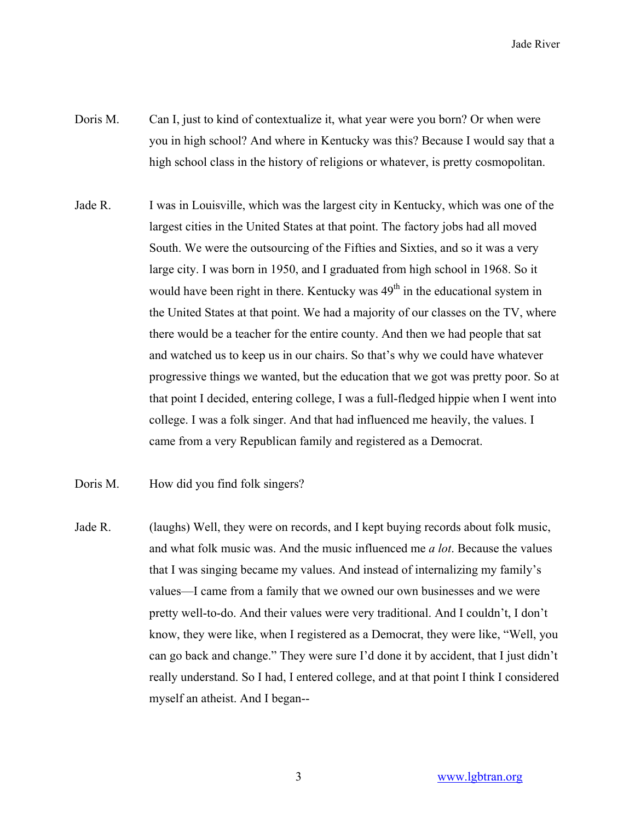- Doris M. Can I, just to kind of contextualize it, what year were you born? Or when were you in high school? And where in Kentucky was this? Because I would say that a high school class in the history of religions or whatever, is pretty cosmopolitan.
- Jade R. I was in Louisville, which was the largest city in Kentucky, which was one of the largest cities in the United States at that point. The factory jobs had all moved South. We were the outsourcing of the Fifties and Sixties, and so it was a very large city. I was born in 1950, and I graduated from high school in 1968. So it would have been right in there. Kentucky was  $49<sup>th</sup>$  in the educational system in the United States at that point. We had a majority of our classes on the TV, where there would be a teacher for the entire county. And then we had people that sat and watched us to keep us in our chairs. So that's why we could have whatever progressive things we wanted, but the education that we got was pretty poor. So at that point I decided, entering college, I was a full-fledged hippie when I went into college. I was a folk singer. And that had influenced me heavily, the values. I came from a very Republican family and registered as a Democrat.
- Doris M. How did you find folk singers?
- Jade R. (laughs) Well, they were on records, and I kept buying records about folk music, and what folk music was. And the music influenced me *a lot*. Because the values that I was singing became my values. And instead of internalizing my family's values—I came from a family that we owned our own businesses and we were pretty well-to-do. And their values were very traditional. And I couldn't, I don't know, they were like, when I registered as a Democrat, they were like, "Well, you can go back and change." They were sure I'd done it by accident, that I just didn't really understand. So I had, I entered college, and at that point I think I considered myself an atheist. And I began--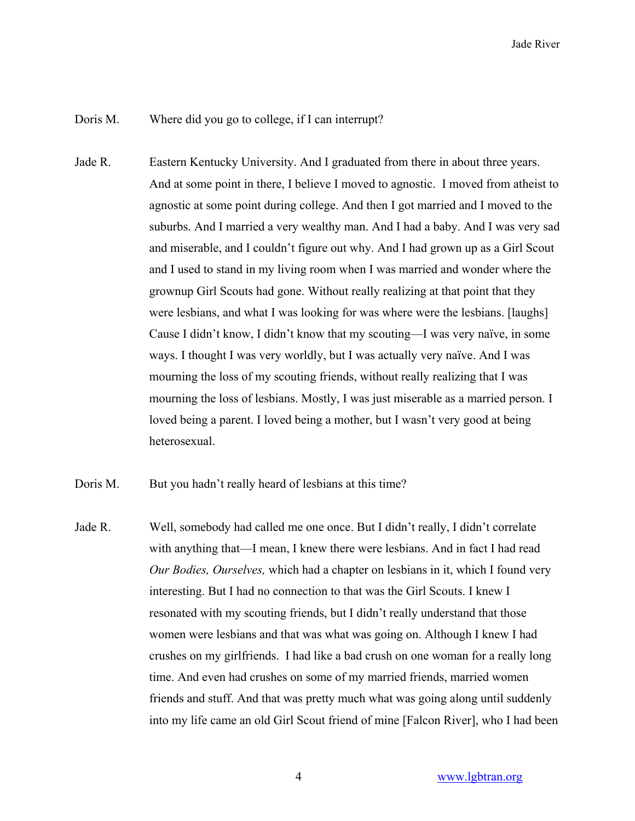Doris M. Where did you go to college, if I can interrupt?

Jade R. Eastern Kentucky University. And I graduated from there in about three years. And at some point in there, I believe I moved to agnostic. I moved from atheist to agnostic at some point during college. And then I got married and I moved to the suburbs. And I married a very wealthy man. And I had a baby. And I was very sad and miserable, and I couldn't figure out why. And I had grown up as a Girl Scout and I used to stand in my living room when I was married and wonder where the grownup Girl Scouts had gone. Without really realizing at that point that they were lesbians, and what I was looking for was where were the lesbians. [laughs] Cause I didn't know, I didn't know that my scouting—I was very naïve, in some ways. I thought I was very worldly, but I was actually very naïve. And I was mourning the loss of my scouting friends, without really realizing that I was mourning the loss of lesbians. Mostly, I was just miserable as a married person. I loved being a parent. I loved being a mother, but I wasn't very good at being heterosexual.

Doris M. But you hadn't really heard of lesbians at this time?

Jade R. Well, somebody had called me one once. But I didn't really, I didn't correlate with anything that—I mean, I knew there were lesbians. And in fact I had read *Our Bodies, Ourselves,* which had a chapter on lesbians in it, which I found very interesting. But I had no connection to that was the Girl Scouts. I knew I resonated with my scouting friends, but I didn't really understand that those women were lesbians and that was what was going on. Although I knew I had crushes on my girlfriends. I had like a bad crush on one woman for a really long time. And even had crushes on some of my married friends, married women friends and stuff. And that was pretty much what was going along until suddenly into my life came an old Girl Scout friend of mine [Falcon River], who I had been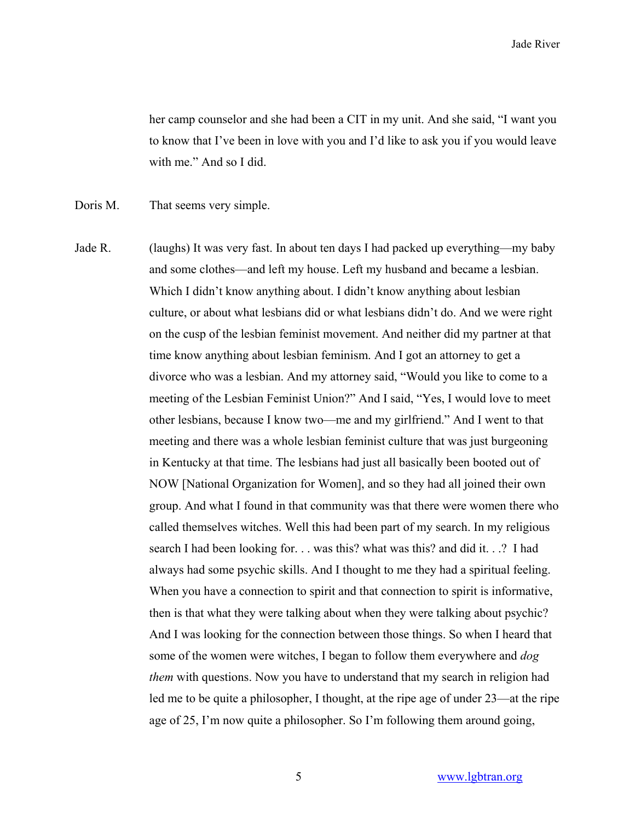her camp counselor and she had been a CIT in my unit. And she said, "I want you to know that I've been in love with you and I'd like to ask you if you would leave with me." And so I did.

Doris M. That seems very simple.

Jade R. (laughs) It was very fast. In about ten days I had packed up everything—my baby and some clothes—and left my house. Left my husband and became a lesbian. Which I didn't know anything about. I didn't know anything about lesbian culture, or about what lesbians did or what lesbians didn't do. And we were right on the cusp of the lesbian feminist movement. And neither did my partner at that time know anything about lesbian feminism. And I got an attorney to get a divorce who was a lesbian. And my attorney said, "Would you like to come to a meeting of the Lesbian Feminist Union?" And I said, "Yes, I would love to meet other lesbians, because I know two—me and my girlfriend." And I went to that meeting and there was a whole lesbian feminist culture that was just burgeoning in Kentucky at that time. The lesbians had just all basically been booted out of NOW [National Organization for Women], and so they had all joined their own group. And what I found in that community was that there were women there who called themselves witches. Well this had been part of my search. In my religious search I had been looking for. . . was this? what was this? and did it. . .? I had always had some psychic skills. And I thought to me they had a spiritual feeling. When you have a connection to spirit and that connection to spirit is informative, then is that what they were talking about when they were talking about psychic? And I was looking for the connection between those things. So when I heard that some of the women were witches, I began to follow them everywhere and *dog them* with questions. Now you have to understand that my search in religion had led me to be quite a philosopher, I thought, at the ripe age of under 23—at the ripe age of 25, I'm now quite a philosopher. So I'm following them around going,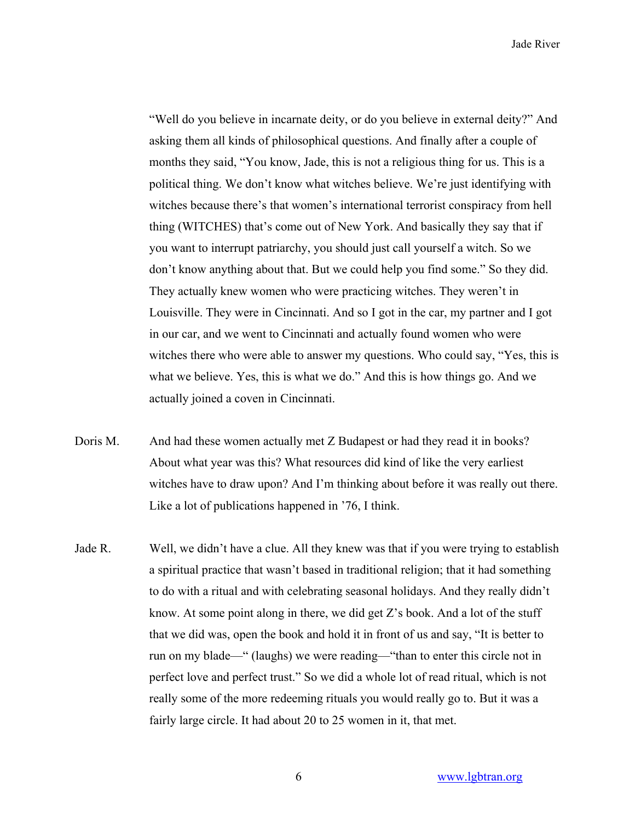"Well do you believe in incarnate deity, or do you believe in external deity?" And asking them all kinds of philosophical questions. And finally after a couple of months they said, "You know, Jade, this is not a religious thing for us. This is a political thing. We don't know what witches believe. We're just identifying with witches because there's that women's international terrorist conspiracy from hell thing (WITCHES) that's come out of New York. And basically they say that if you want to interrupt patriarchy, you should just call yourself a witch. So we don't know anything about that. But we could help you find some." So they did. They actually knew women who were practicing witches. They weren't in Louisville. They were in Cincinnati. And so I got in the car, my partner and I got in our car, and we went to Cincinnati and actually found women who were witches there who were able to answer my questions. Who could say, "Yes, this is what we believe. Yes, this is what we do." And this is how things go. And we actually joined a coven in Cincinnati.

- Doris M. And had these women actually met Z Budapest or had they read it in books? About what year was this? What resources did kind of like the very earliest witches have to draw upon? And I'm thinking about before it was really out there. Like a lot of publications happened in '76, I think.
- Jade R. Well, we didn't have a clue. All they knew was that if you were trying to establish a spiritual practice that wasn't based in traditional religion; that it had something to do with a ritual and with celebrating seasonal holidays. And they really didn't know. At some point along in there, we did get  $Z$ 's book. And a lot of the stuff that we did was, open the book and hold it in front of us and say, "It is better to run on my blade—" (laughs) we were reading—"than to enter this circle not in perfect love and perfect trust." So we did a whole lot of read ritual, which is not really some of the more redeeming rituals you would really go to. But it was a fairly large circle. It had about 20 to 25 women in it, that met.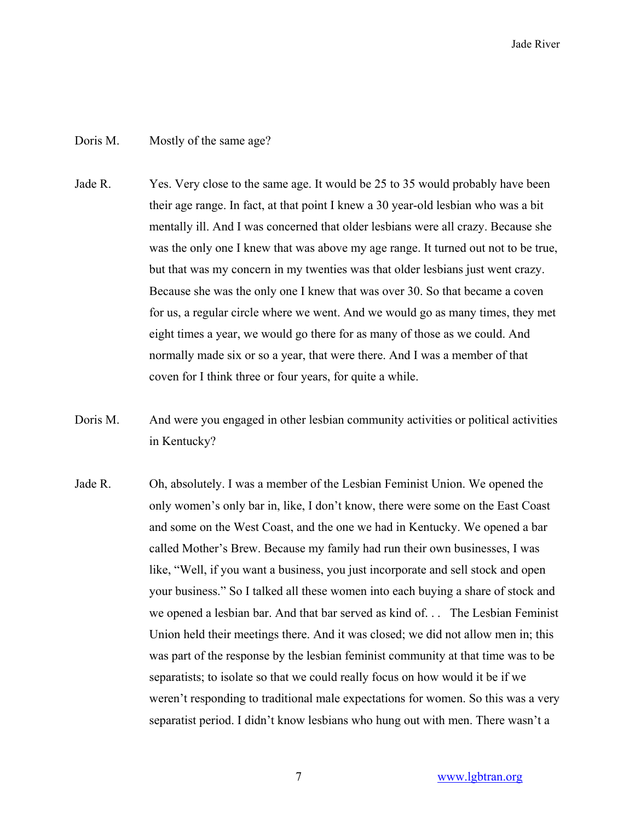## Doris M. Mostly of the same age?

- Jade R. Yes. Very close to the same age. It would be 25 to 35 would probably have been their age range. In fact, at that point I knew a 30 year-old lesbian who was a bit mentally ill. And I was concerned that older lesbians were all crazy. Because she was the only one I knew that was above my age range. It turned out not to be true, but that was my concern in my twenties was that older lesbians just went crazy. Because she was the only one I knew that was over 30. So that became a coven for us, a regular circle where we went. And we would go as many times, they met eight times a year, we would go there for as many of those as we could. And normally made six or so a year, that were there. And I was a member of that coven for I think three or four years, for quite a while.
- Doris M. And were you engaged in other lesbian community activities or political activities in Kentucky?
- Jade R. Oh, absolutely. I was a member of the Lesbian Feminist Union. We opened the only women's only bar in, like, I don't know, there were some on the East Coast and some on the West Coast, and the one we had in Kentucky. We opened a bar called Mother's Brew. Because my family had run their own businesses, I was like, "Well, if you want a business, you just incorporate and sell stock and open your business." So I talked all these women into each buying a share of stock and we opened a lesbian bar. And that bar served as kind of. . . The Lesbian Feminist Union held their meetings there. And it was closed; we did not allow men in; this was part of the response by the lesbian feminist community at that time was to be separatists; to isolate so that we could really focus on how would it be if we weren't responding to traditional male expectations for women. So this was a very separatist period. I didn't know lesbians who hung out with men. There wasn't a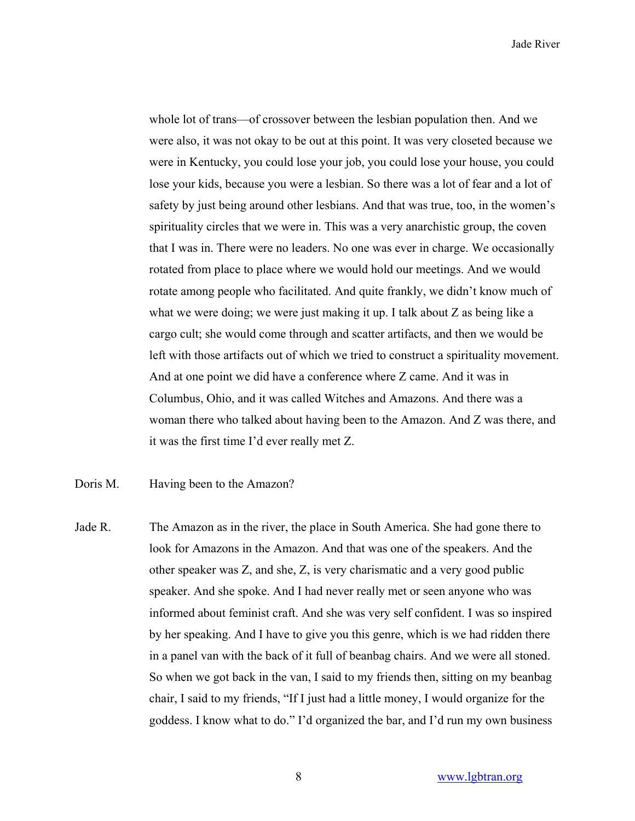whole lot of trans—of crossover between the lesbian population then. And we were also, it was not okay to be out at this point. It was very closeted because we were in Kentucky, you could lose your job, you could lose your house, you could lose your kids, because you were a lesbian. So there was a lot of fear and a lot of safety by just being around other lesbians. And that was true, too, in the women's spirituality circles that we were in. This was a very anarchistic group, the coven that I was in. There were no leaders. No one was ever in charge. We occasionally rotated from place to place where we would hold our meetings. And we would rotate among people who facilitated. And quite frankly, we didn't know much of what we were doing; we were just making it up. I talk about Z as being like a cargo cult; she would come through and scatter artifacts, and then we would be left with those artifacts out of which we tried to construct a spirituality movement. And at one point we did have a conference where Z came. And it was in Columbus, Ohio, and it was called Witches and Amazons. And there was a woman there who talked about having been to the Amazon. And Z was there, and it was the first time I'd ever really met Z.

Doris M. Having been to the Amazon?

Jade R. The Amazon as in the river, the place in South America. She had gone there to look for Amazons in the Amazon. And that was one of the speakers. And the other speaker was Z, and she, Z, is very charismatic and a very good public speaker. And she spoke. And I had never really met or seen anyone who was informed about feminist craft. And she was very self confident. I was so inspired by her speaking. And I have to give you this genre, which is we had ridden there in a panel van with the back of it full of beanbag chairs. And we were all stoned. So when we got back in the van, I said to my friends then, sitting on my beanbag chair, I said to my friends, "If I just had a little money, I would organize for the goddess. I know what to do." I'd organized the bar, and I'd run my own business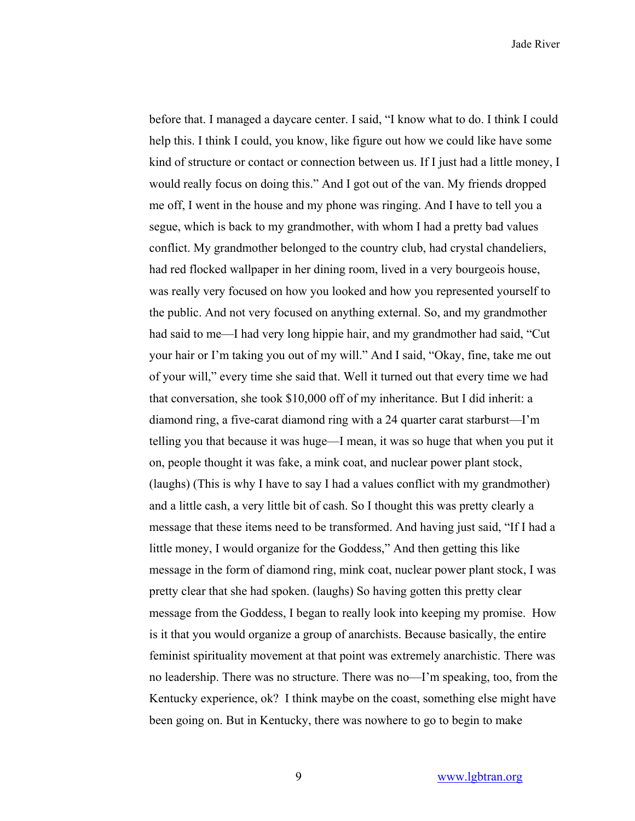before that. I managed a daycare center. I said, "I know what to do. I think I could help this. I think I could, you know, like figure out how we could like have some kind of structure or contact or connection between us. If I just had a little money, I would really focus on doing this." And I got out of the van. My friends dropped me off, I went in the house and my phone was ringing. And I have to tell you a segue, which is back to my grandmother, with whom I had a pretty bad values conflict. My grandmother belonged to the country club, had crystal chandeliers, had red flocked wallpaper in her dining room, lived in a very bourgeois house, was really very focused on how you looked and how you represented yourself to the public. And not very focused on anything external. So, and my grandmother had said to me—I had very long hippie hair, and my grandmother had said, "Cut your hair or I'm taking you out of my will." And I said, "Okay, fine, take me out of your will," every time she said that. Well it turned out that every time we had that conversation, she took \$10,000 off of my inheritance. But I did inherit: a diamond ring, a five-carat diamond ring with a 24 quarter carat starburst—I'm telling you that because it was huge—I mean, it was so huge that when you put it on, people thought it was fake, a mink coat, and nuclear power plant stock, (laughs) (This is why I have to say I had a values conflict with my grandmother) and a little cash, a very little bit of cash. So I thought this was pretty clearly a message that these items need to be transformed. And having just said, "If I had a little money, I would organize for the Goddess," And then getting this like message in the form of diamond ring, mink coat, nuclear power plant stock, I was pretty clear that she had spoken. (laughs) So having gotten this pretty clear message from the Goddess, I began to really look into keeping my promise. How is it that you would organize a group of anarchists. Because basically, the entire feminist spirituality movement at that point was extremely anarchistic. There was no leadership. There was no structure. There was no—I'm speaking, too, from the Kentucky experience, ok? I think maybe on the coast, something else might have been going on. But in Kentucky, there was nowhere to go to begin to make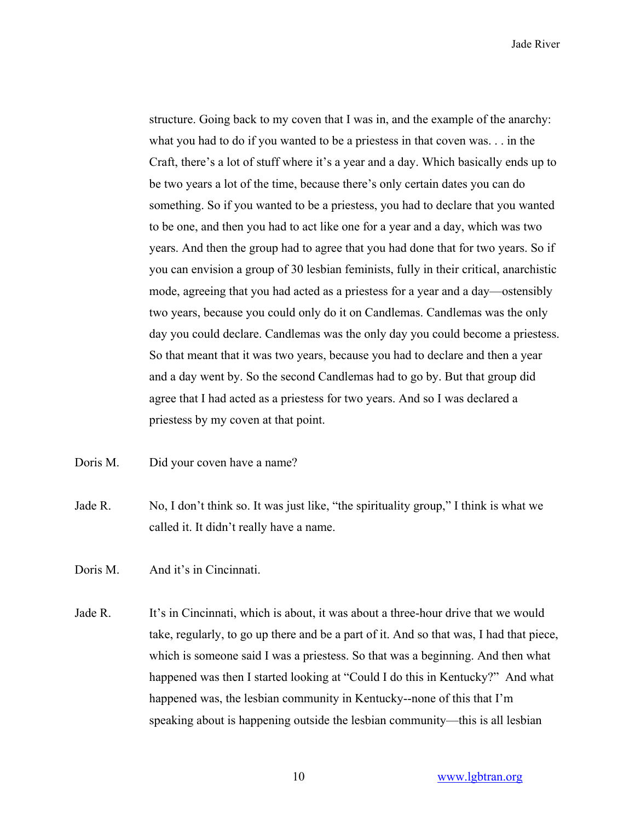structure. Going back to my coven that I was in, and the example of the anarchy: what you had to do if you wanted to be a priestess in that coven was. . . in the Craft, there's a lot of stuff where it's a year and a day. Which basically ends up to be two years a lot of the time, because there's only certain dates you can do something. So if you wanted to be a priestess, you had to declare that you wanted to be one, and then you had to act like one for a year and a day, which was two years. And then the group had to agree that you had done that for two years. So if you can envision a group of 30 lesbian feminists, fully in their critical, anarchistic mode, agreeing that you had acted as a priestess for a year and a day—ostensibly two years, because you could only do it on Candlemas. Candlemas was the only day you could declare. Candlemas was the only day you could become a priestess. So that meant that it was two years, because you had to declare and then a year and a day went by. So the second Candlemas had to go by. But that group did agree that I had acted as a priestess for two years. And so I was declared a priestess by my coven at that point.

Doris M. Did your coven have a name?

Jade R. No, I don't think so. It was just like, "the spirituality group," I think is what we called it. It didn't really have a name.

Doris M. And it's in Cincinnati.

Jade R. It's in Cincinnati, which is about, it was about a three-hour drive that we would take, regularly, to go up there and be a part of it. And so that was, I had that piece, which is someone said I was a priestess. So that was a beginning. And then what happened was then I started looking at "Could I do this in Kentucky?" And what happened was, the lesbian community in Kentucky--none of this that I'm speaking about is happening outside the lesbian community—this is all lesbian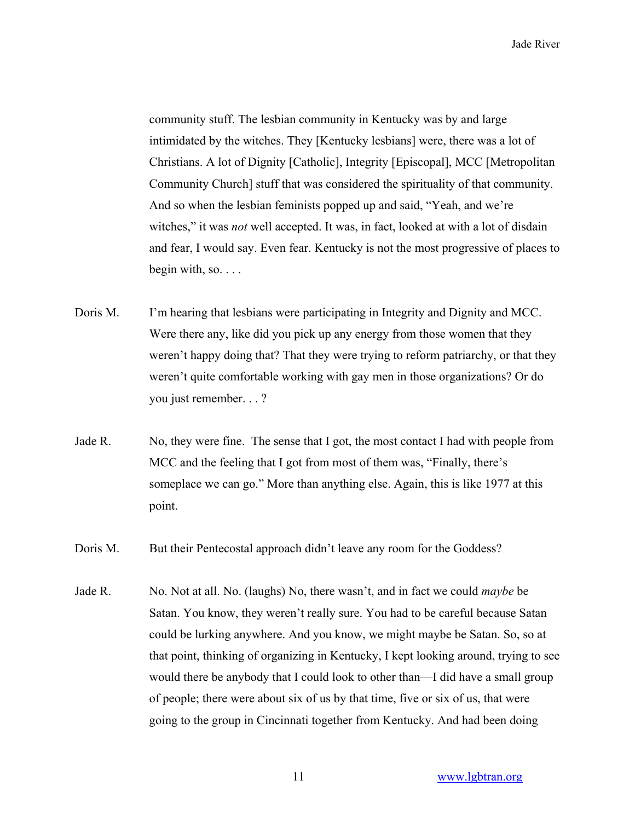community stuff. The lesbian community in Kentucky was by and large intimidated by the witches. They [Kentucky lesbians] were, there was a lot of Christians. A lot of Dignity [Catholic], Integrity [Episcopal], MCC [Metropolitan Community Church] stuff that was considered the spirituality of that community. And so when the lesbian feminists popped up and said, "Yeah, and we're witches," it was *not* well accepted. It was, in fact, looked at with a lot of disdain and fear, I would say. Even fear. Kentucky is not the most progressive of places to begin with, so.  $\ldots$ 

- Doris M. I'm hearing that lesbians were participating in Integrity and Dignity and MCC. Were there any, like did you pick up any energy from those women that they weren't happy doing that? That they were trying to reform patriarchy, or that they weren't quite comfortable working with gay men in those organizations? Or do you just remember. . . ?
- Jade R. No, they were fine. The sense that I got, the most contact I had with people from MCC and the feeling that I got from most of them was, "Finally, there's someplace we can go." More than anything else. Again, this is like 1977 at this point.
- Doris M. But their Pentecostal approach didn't leave any room for the Goddess?
- Jade R. No. Not at all. No. (laughs) No, there wasn't, and in fact we could *maybe* be Satan. You know, they weren't really sure. You had to be careful because Satan could be lurking anywhere. And you know, we might maybe be Satan. So, so at that point, thinking of organizing in Kentucky, I kept looking around, trying to see would there be anybody that I could look to other than—I did have a small group of people; there were about six of us by that time, five or six of us, that were going to the group in Cincinnati together from Kentucky. And had been doing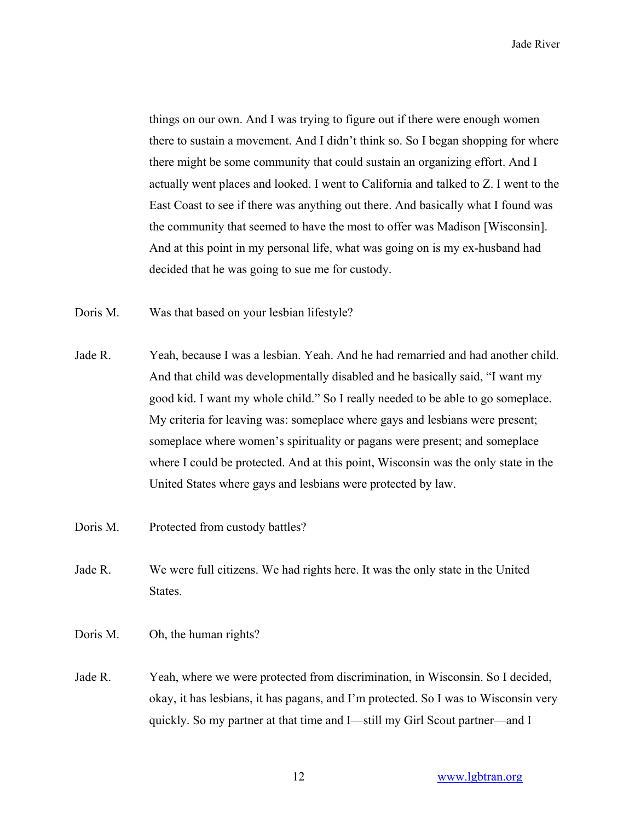things on our own. And I was trying to figure out if there were enough women there to sustain a movement. And I didn't think so. So I began shopping for where there might be some community that could sustain an organizing effort. And I actually went places and looked. I went to California and talked to Z. I went to the East Coast to see if there was anything out there. And basically what I found was the community that seemed to have the most to offer was Madison [Wisconsin]. And at this point in my personal life, what was going on is my ex-husband had decided that he was going to sue me for custody.

- Doris M. Was that based on your lesbian lifestyle?
- Jade R. Yeah, because I was a lesbian. Yeah. And he had remarried and had another child. And that child was developmentally disabled and he basically said, "I want my good kid. I want my whole child." So I really needed to be able to go someplace. My criteria for leaving was: someplace where gays and lesbians were present; someplace where women's spirituality or pagans were present; and someplace where I could be protected. And at this point, Wisconsin was the only state in the United States where gays and lesbians were protected by law.
- Doris M. Protected from custody battles?
- Jade R. We were full citizens. We had rights here. It was the only state in the United States.
- Doris M. Oh, the human rights?
- Jade R. Yeah, where we were protected from discrimination, in Wisconsin. So I decided, okay, it has lesbians, it has pagans, and I'm protected. So I was to Wisconsin very quickly. So my partner at that time and I—still my Girl Scout partner—and I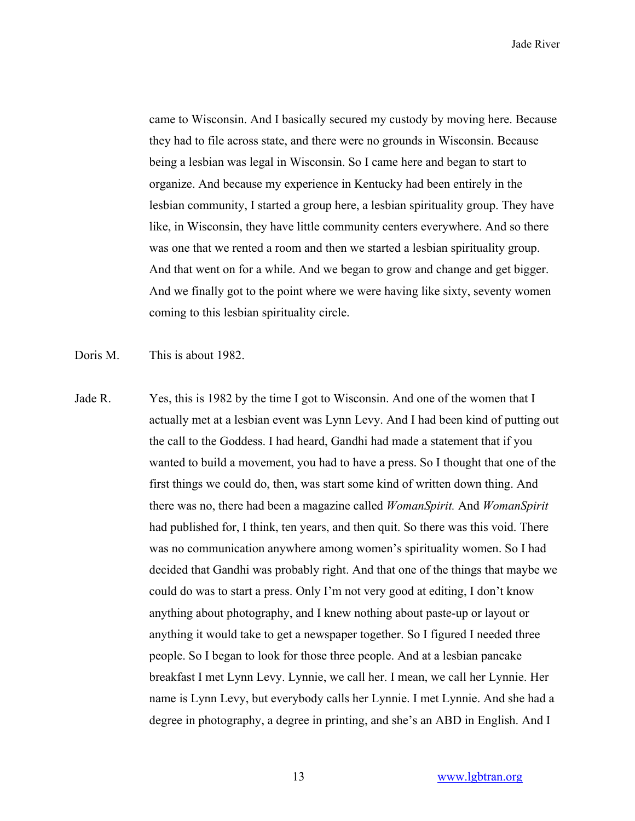came to Wisconsin. And I basically secured my custody by moving here. Because they had to file across state, and there were no grounds in Wisconsin. Because being a lesbian was legal in Wisconsin. So I came here and began to start to organize. And because my experience in Kentucky had been entirely in the lesbian community, I started a group here, a lesbian spirituality group. They have like, in Wisconsin, they have little community centers everywhere. And so there was one that we rented a room and then we started a lesbian spirituality group. And that went on for a while. And we began to grow and change and get bigger. And we finally got to the point where we were having like sixty, seventy women coming to this lesbian spirituality circle.

Doris M. This is about 1982.

Jade R. Yes, this is 1982 by the time I got to Wisconsin. And one of the women that I actually met at a lesbian event was Lynn Levy. And I had been kind of putting out the call to the Goddess. I had heard, Gandhi had made a statement that if you wanted to build a movement, you had to have a press. So I thought that one of the first things we could do, then, was start some kind of written down thing. And there was no, there had been a magazine called *WomanSpirit.* And *WomanSpirit* had published for, I think, ten years, and then quit. So there was this void. There was no communication anywhere among women's spirituality women. So I had decided that Gandhi was probably right. And that one of the things that maybe we could do was to start a press. Only I'm not very good at editing, I don't know anything about photography, and I knew nothing about paste-up or layout or anything it would take to get a newspaper together. So I figured I needed three people. So I began to look for those three people. And at a lesbian pancake breakfast I met Lynn Levy. Lynnie, we call her. I mean, we call her Lynnie. Her name is Lynn Levy, but everybody calls her Lynnie. I met Lynnie. And she had a degree in photography, a degree in printing, and she's an ABD in English. And I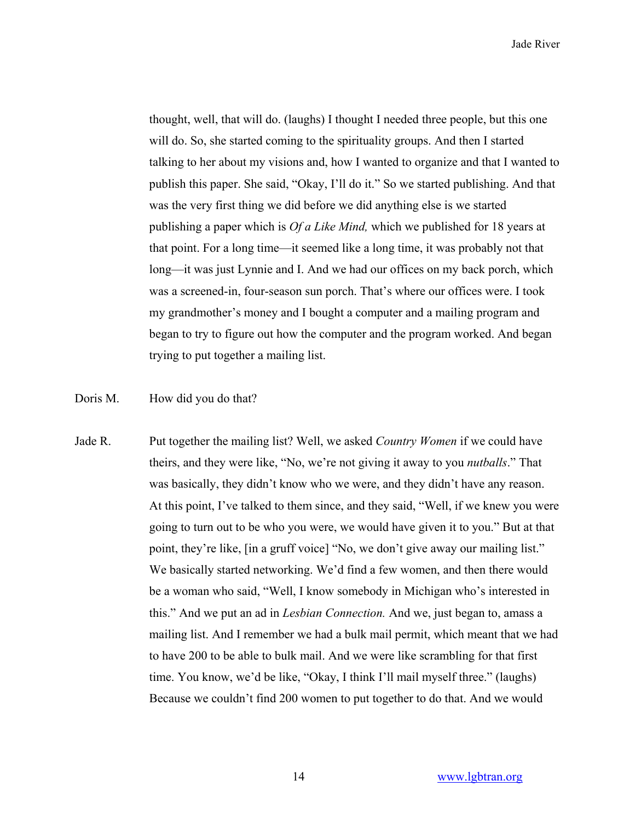thought, well, that will do. (laughs) I thought I needed three people, but this one will do. So, she started coming to the spirituality groups. And then I started talking to her about my visions and, how I wanted to organize and that I wanted to publish this paper. She said, "Okay, I'll do it." So we started publishing. And that was the very first thing we did before we did anything else is we started publishing a paper which is *Of a Like Mind,* which we published for 18 years at that point. For a long time—it seemed like a long time, it was probably not that long—it was just Lynnie and I. And we had our offices on my back porch, which was a screened-in, four-season sun porch. That's where our offices were. I took my grandmother's money and I bought a computer and a mailing program and began to try to figure out how the computer and the program worked. And began trying to put together a mailing list.

Doris M. How did you do that?

Jade R. Put together the mailing list? Well, we asked *Country Women* if we could have theirs, and they were like, "No, we're not giving it away to you *nutballs*." That was basically, they didn't know who we were, and they didn't have any reason. At this point, I've talked to them since, and they said, "Well, if we knew you were going to turn out to be who you were, we would have given it to you." But at that point, they're like, [in a gruff voice] "No, we don't give away our mailing list." We basically started networking. We'd find a few women, and then there would be a woman who said, "Well, I know somebody in Michigan who's interested in this." And we put an ad in *Lesbian Connection.* And we, just began to, amass a mailing list. And I remember we had a bulk mail permit, which meant that we had to have 200 to be able to bulk mail. And we were like scrambling for that first time. You know, we'd be like, "Okay, I think I'll mail myself three." (laughs) Because we couldn't find 200 women to put together to do that. And we would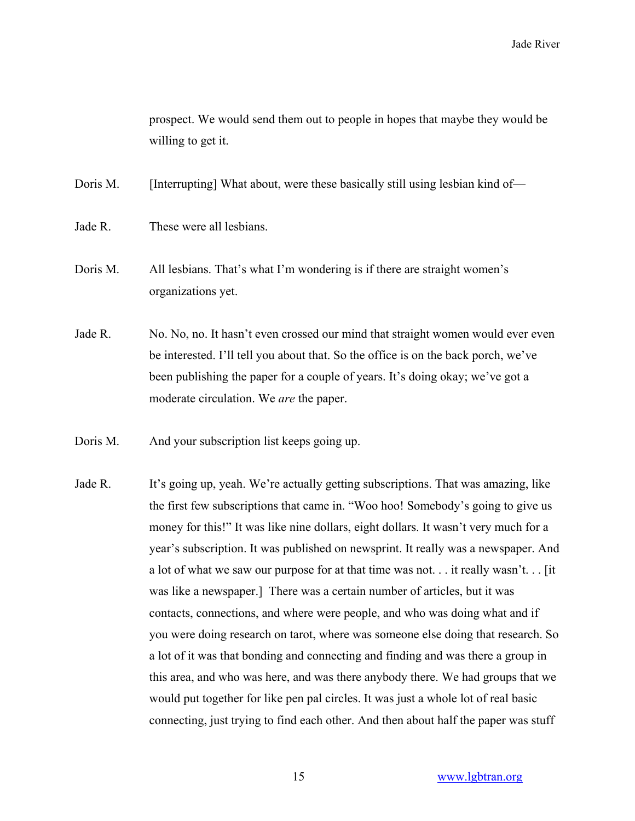prospect. We would send them out to people in hopes that maybe they would be willing to get it.

Doris M. [Interrupting] What about, were these basically still using lesbian kind of—

- Jade R. These were all lesbians.
- Doris M. All lesbians. That's what I'm wondering is if there are straight women's organizations yet.
- Jade R. No. No, no. It hasn't even crossed our mind that straight women would ever even be interested. I'll tell you about that. So the office is on the back porch, we've been publishing the paper for a couple of years. It's doing okay; we've got a moderate circulation. We *are* the paper.
- Doris M. And your subscription list keeps going up.
- Jade R. It's going up, yeah. We're actually getting subscriptions. That was amazing, like the first few subscriptions that came in. "Woo hoo! Somebody's going to give us money for this!" It was like nine dollars, eight dollars. It wasn't very much for a year's subscription. It was published on newsprint. It really was a newspaper. And a lot of what we saw our purpose for at that time was not. . . it really wasn't. . . [it was like a newspaper.] There was a certain number of articles, but it was contacts, connections, and where were people, and who was doing what and if you were doing research on tarot, where was someone else doing that research. So a lot of it was that bonding and connecting and finding and was there a group in this area, and who was here, and was there anybody there. We had groups that we would put together for like pen pal circles. It was just a whole lot of real basic connecting, just trying to find each other. And then about half the paper was stuff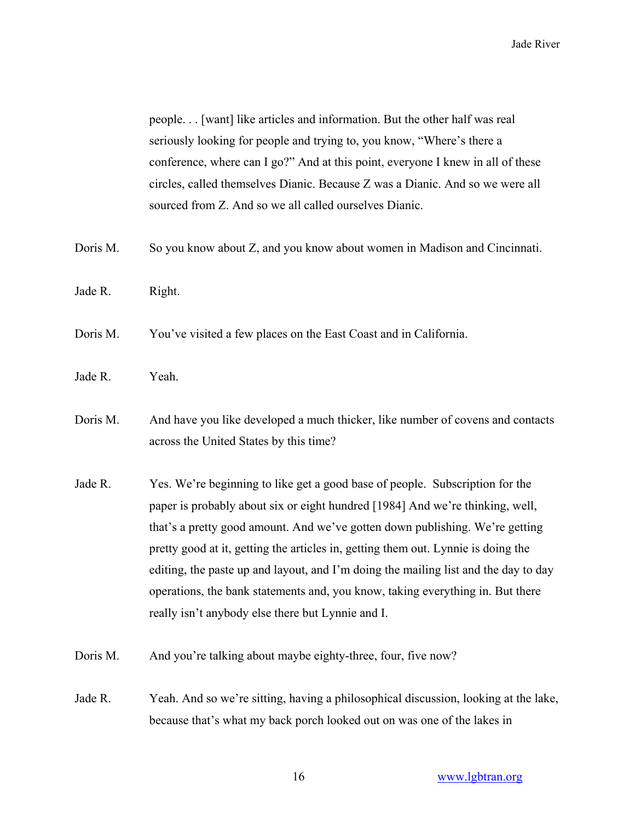people. . . [want] like articles and information. But the other half was real seriously looking for people and trying to, you know, "Where's there a conference, where can I go?" And at this point, everyone I knew in all of these circles, called themselves Dianic. Because Z was a Dianic. And so we were all sourced from Z. And so we all called ourselves Dianic.

- Doris M. So you know about Z, and you know about women in Madison and Cincinnati.
- Jade R. Right.
- Doris M. You've visited a few places on the East Coast and in California.
- Jade R. Yeah.
- Doris M. And have you like developed a much thicker, like number of covens and contacts across the United States by this time?
- Jade R. Yes. We're beginning to like get a good base of people. Subscription for the paper is probably about six or eight hundred [1984] And we're thinking, well, that's a pretty good amount. And we've gotten down publishing. We're getting pretty good at it, getting the articles in, getting them out. Lynnie is doing the editing, the paste up and layout, and I'm doing the mailing list and the day to day operations, the bank statements and, you know, taking everything in. But there really isn't anybody else there but Lynnie and I.
- Doris M. And you're talking about maybe eighty-three, four, five now?
- Jade R. Yeah. And so we're sitting, having a philosophical discussion, looking at the lake, because that's what my back porch looked out on was one of the lakes in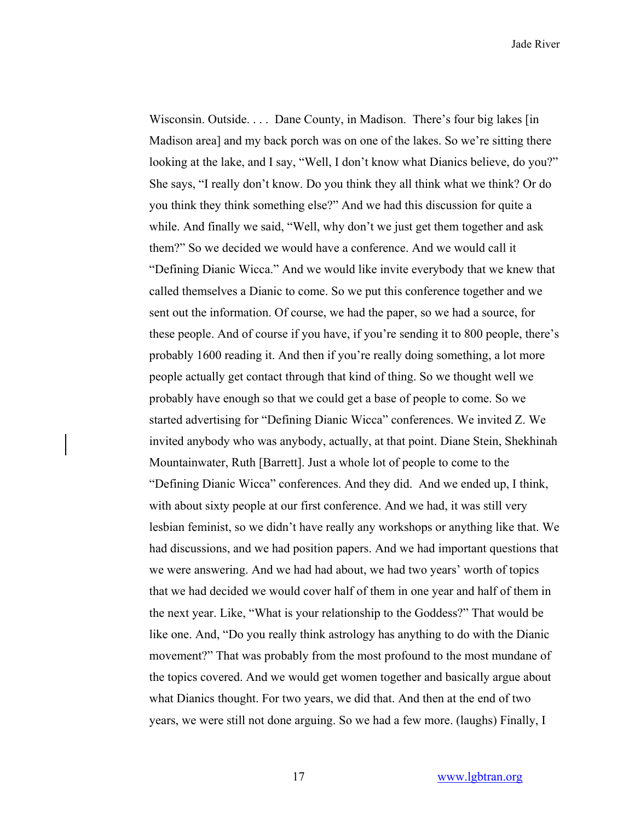Wisconsin. Outside. . . . Dane County, in Madison. There's four big lakes [in Madison area] and my back porch was on one of the lakes. So we're sitting there looking at the lake, and I say, "Well, I don't know what Dianics believe, do you?" She says, "I really don't know. Do you think they all think what we think? Or do you think they think something else?" And we had this discussion for quite a while. And finally we said, "Well, why don't we just get them together and ask them?" So we decided we would have a conference. And we would call it "Defining Dianic Wicca." And we would like invite everybody that we knew that called themselves a Dianic to come. So we put this conference together and we sent out the information. Of course, we had the paper, so we had a source, for these people. And of course if you have, if you're sending it to 800 people, there's probably 1600 reading it. And then if you're really doing something, a lot more people actually get contact through that kind of thing. So we thought well we probably have enough so that we could get a base of people to come. So we started advertising for "Defining Dianic Wicca" conferences. We invited Z. We invited anybody who was anybody, actually, at that point. Diane Stein, Shekhinah Mountainwater, Ruth [Barrett]. Just a whole lot of people to come to the "Defining Dianic Wicca" conferences. And they did. And we ended up, I think, with about sixty people at our first conference. And we had, it was still very lesbian feminist, so we didn't have really any workshops or anything like that. We had discussions, and we had position papers. And we had important questions that we were answering. And we had had about, we had two years' worth of topics that we had decided we would cover half of them in one year and half of them in the next year. Like, "What is your relationship to the Goddess?" That would be like one. And, "Do you really think astrology has anything to do with the Dianic movement?" That was probably from the most profound to the most mundane of the topics covered. And we would get women together and basically argue about what Dianics thought. For two years, we did that. And then at the end of two years, we were still not done arguing. So we had a few more. (laughs) Finally, I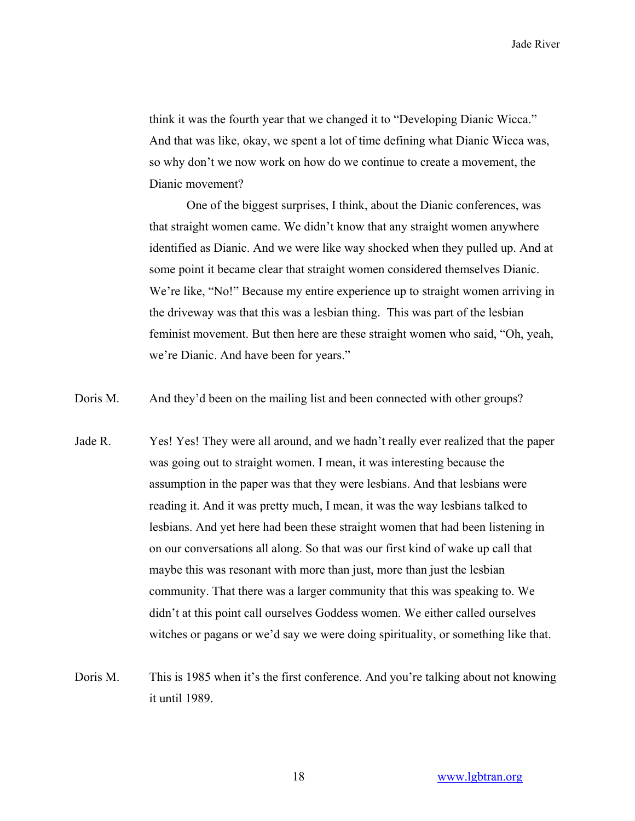think it was the fourth year that we changed it to "Developing Dianic Wicca." And that was like, okay, we spent a lot of time defining what Dianic Wicca was, so why don't we now work on how do we continue to create a movement, the Dianic movement?

One of the biggest surprises, I think, about the Dianic conferences, was that straight women came. We didn't know that any straight women anywhere identified as Dianic. And we were like way shocked when they pulled up. And at some point it became clear that straight women considered themselves Dianic. We're like, "No!" Because my entire experience up to straight women arriving in the driveway was that this was a lesbian thing. This was part of the lesbian feminist movement. But then here are these straight women who said, "Oh, yeah, we're Dianic. And have been for years."

Doris M. And they'd been on the mailing list and been connected with other groups?

- Jade R. Yes! Yes! They were all around, and we hadn't really ever realized that the paper was going out to straight women. I mean, it was interesting because the assumption in the paper was that they were lesbians. And that lesbians were reading it. And it was pretty much, I mean, it was the way lesbians talked to lesbians. And yet here had been these straight women that had been listening in on our conversations all along. So that was our first kind of wake up call that maybe this was resonant with more than just, more than just the lesbian community. That there was a larger community that this was speaking to. We didn't at this point call ourselves Goddess women. We either called ourselves witches or pagans or we'd say we were doing spirituality, or something like that.
- Doris M. This is 1985 when it's the first conference. And you're talking about not knowing it until 1989.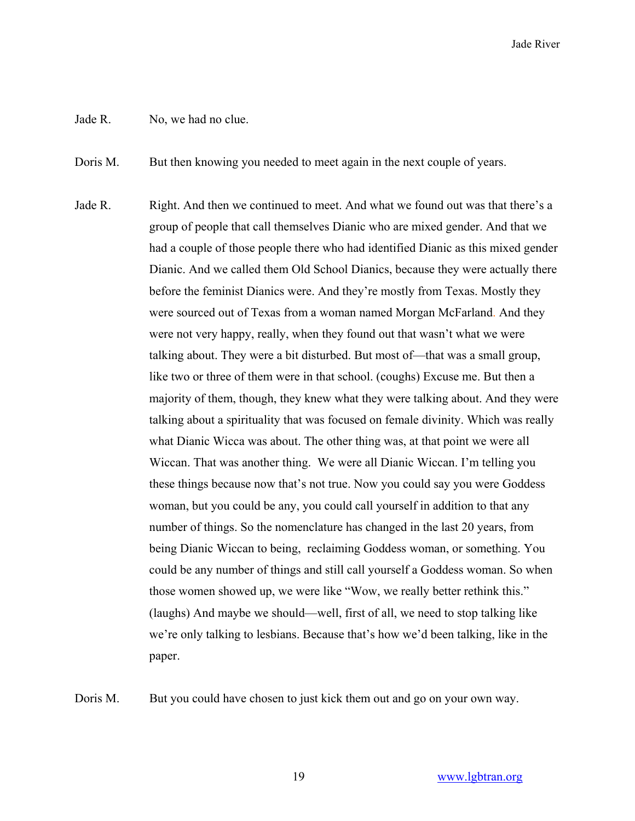## Jade R. No, we had no clue.

Doris M. But then knowing you needed to meet again in the next couple of years.

Jade R. Right. And then we continued to meet. And what we found out was that there's a group of people that call themselves Dianic who are mixed gender. And that we had a couple of those people there who had identified Dianic as this mixed gender Dianic. And we called them Old School Dianics, because they were actually there before the feminist Dianics were. And they're mostly from Texas. Mostly they were sourced out of Texas from a woman named Morgan McFarland. And they were not very happy, really, when they found out that wasn't what we were talking about. They were a bit disturbed. But most of—that was a small group, like two or three of them were in that school. (coughs) Excuse me. But then a majority of them, though, they knew what they were talking about. And they were talking about a spirituality that was focused on female divinity. Which was really what Dianic Wicca was about. The other thing was, at that point we were all Wiccan. That was another thing. We were all Dianic Wiccan. I'm telling you these things because now that's not true. Now you could say you were Goddess woman, but you could be any, you could call yourself in addition to that any number of things. So the nomenclature has changed in the last 20 years, from being Dianic Wiccan to being, reclaiming Goddess woman, or something. You could be any number of things and still call yourself a Goddess woman. So when those women showed up, we were like "Wow, we really better rethink this." (laughs) And maybe we should—well, first of all, we need to stop talking like we're only talking to lesbians. Because that's how we'd been talking, like in the paper.

Doris M. But you could have chosen to just kick them out and go on your own way.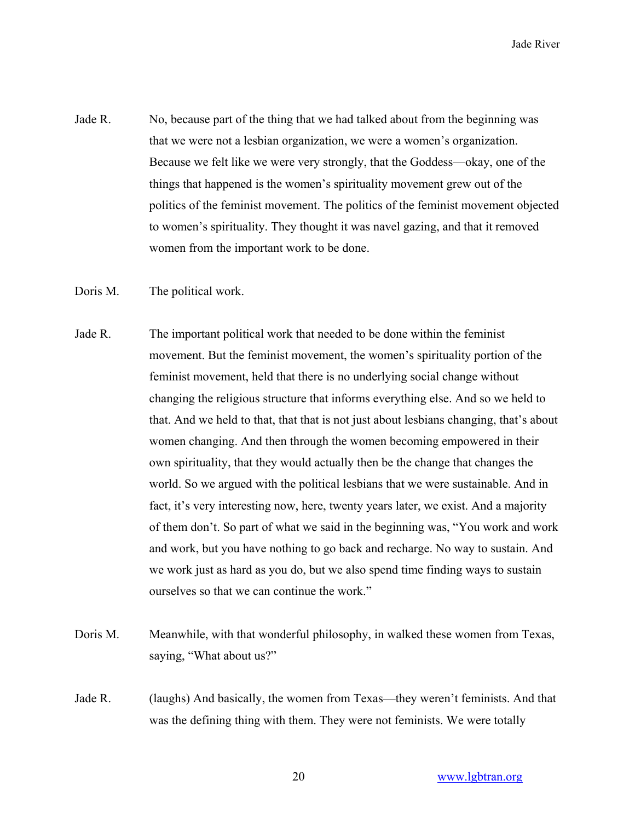- Jade R. No, because part of the thing that we had talked about from the beginning was that we were not a lesbian organization, we were a women's organization. Because we felt like we were very strongly, that the Goddess—okay, one of the things that happened is the women's spirituality movement grew out of the politics of the feminist movement. The politics of the feminist movement objected to women's spirituality. They thought it was navel gazing, and that it removed women from the important work to be done.
- Doris M. The political work.
- Jade R. The important political work that needed to be done within the feminist movement. But the feminist movement, the women's spirituality portion of the feminist movement, held that there is no underlying social change without changing the religious structure that informs everything else. And so we held to that. And we held to that, that that is not just about lesbians changing, that's about women changing. And then through the women becoming empowered in their own spirituality, that they would actually then be the change that changes the world. So we argued with the political lesbians that we were sustainable. And in fact, it's very interesting now, here, twenty years later, we exist. And a majority of them don't. So part of what we said in the beginning was, "You work and work and work, but you have nothing to go back and recharge. No way to sustain. And we work just as hard as you do, but we also spend time finding ways to sustain ourselves so that we can continue the work."
- Doris M. Meanwhile, with that wonderful philosophy, in walked these women from Texas, saying, "What about us?"
- Jade R. (laughs) And basically, the women from Texas—they weren't feminists. And that was the defining thing with them. They were not feminists. We were totally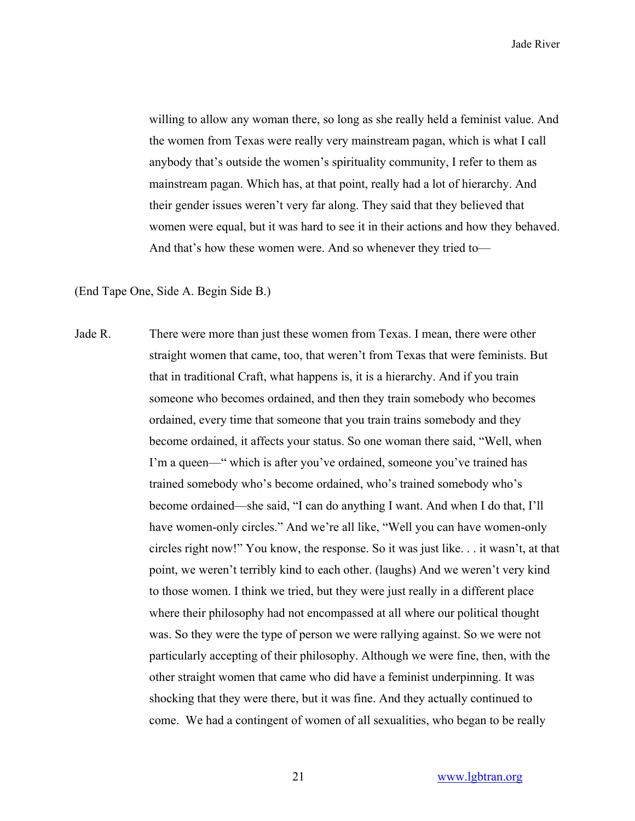willing to allow any woman there, so long as she really held a feminist value. And the women from Texas were really very mainstream pagan, which is what I call anybody that's outside the women's spirituality community, I refer to them as mainstream pagan. Which has, at that point, really had a lot of hierarchy. And their gender issues weren't very far along. They said that they believed that women were equal, but it was hard to see it in their actions and how they behaved. And that's how these women were. And so whenever they tried to—

(End Tape One, Side A. Begin Side B.)

Jade R. There were more than just these women from Texas. I mean, there were other straight women that came, too, that weren't from Texas that were feminists. But that in traditional Craft, what happens is, it is a hierarchy. And if you train someone who becomes ordained, and then they train somebody who becomes ordained, every time that someone that you train trains somebody and they become ordained, it affects your status. So one woman there said, "Well, when I'm a queen—" which is after you've ordained, someone you've trained has trained somebody who's become ordained, who's trained somebody who's become ordained—she said, "I can do anything I want. And when I do that, I'll have women-only circles." And we're all like, "Well you can have women-only circles right now!" You know, the response. So it was just like. . . it wasn't, at that point, we weren't terribly kind to each other. (laughs) And we weren't very kind to those women. I think we tried, but they were just really in a different place where their philosophy had not encompassed at all where our political thought was. So they were the type of person we were rallying against. So we were not particularly accepting of their philosophy. Although we were fine, then, with the other straight women that came who did have a feminist underpinning. It was shocking that they were there, but it was fine. And they actually continued to come. We had a contingent of women of all sexualities, who began to be really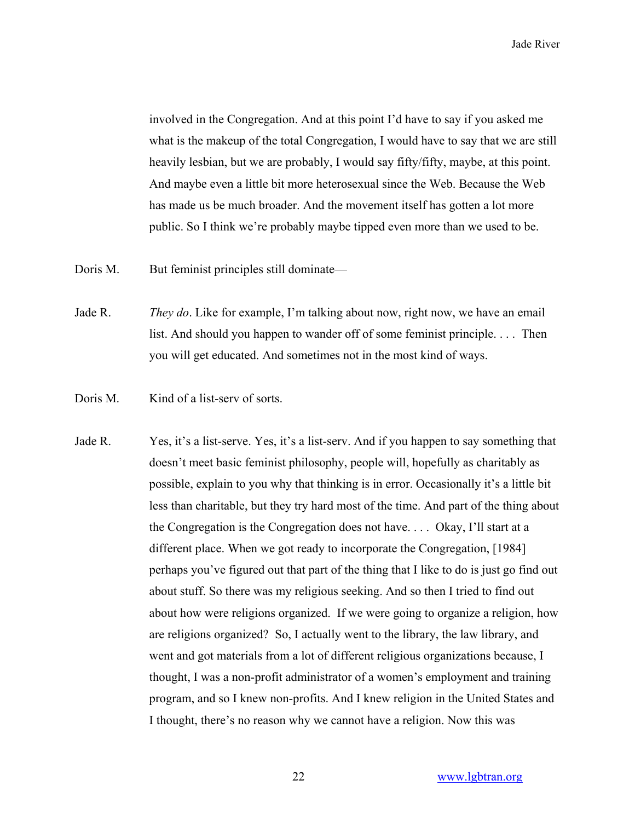involved in the Congregation. And at this point I'd have to say if you asked me what is the makeup of the total Congregation, I would have to say that we are still heavily lesbian, but we are probably, I would say fifty/fifty, maybe, at this point. And maybe even a little bit more heterosexual since the Web. Because the Web has made us be much broader. And the movement itself has gotten a lot more public. So I think we're probably maybe tipped even more than we used to be.

- Doris M. But feminist principles still dominate—
- Jade R. *They do*. Like for example, I'm talking about now, right now, we have an email list. And should you happen to wander off of some feminist principle. . . . Then you will get educated. And sometimes not in the most kind of ways.
- Doris M. Kind of a list-serv of sorts.
- Jade R. Yes, it's a list-serve. Yes, it's a list-serv. And if you happen to say something that doesn't meet basic feminist philosophy, people will, hopefully as charitably as possible, explain to you why that thinking is in error. Occasionally it's a little bit less than charitable, but they try hard most of the time. And part of the thing about the Congregation is the Congregation does not have. . . . Okay, I'll start at a different place. When we got ready to incorporate the Congregation, [1984] perhaps you've figured out that part of the thing that I like to do is just go find out about stuff. So there was my religious seeking. And so then I tried to find out about how were religions organized. If we were going to organize a religion, how are religions organized? So, I actually went to the library, the law library, and went and got materials from a lot of different religious organizations because, I thought, I was a non-profit administrator of a women's employment and training program, and so I knew non-profits. And I knew religion in the United States and I thought, there's no reason why we cannot have a religion. Now this was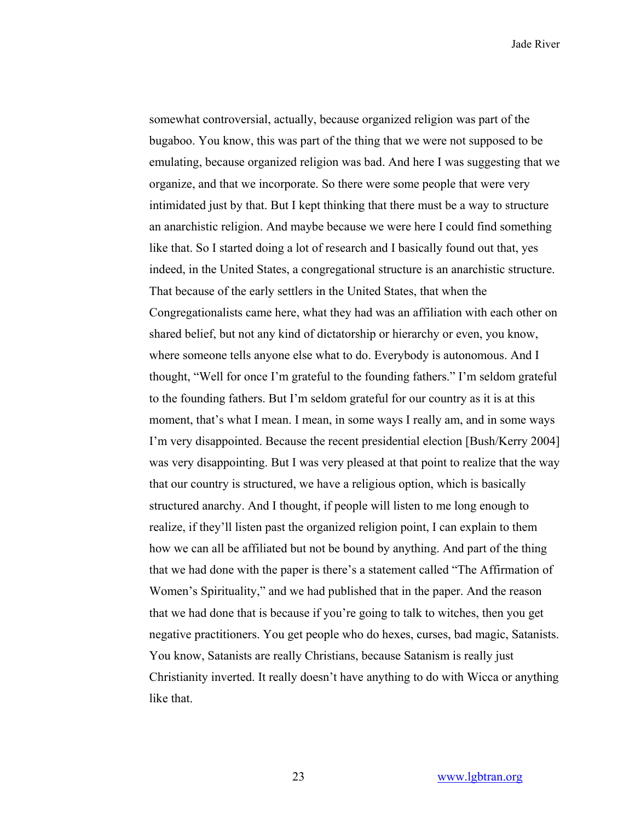somewhat controversial, actually, because organized religion was part of the bugaboo. You know, this was part of the thing that we were not supposed to be emulating, because organized religion was bad. And here I was suggesting that we organize, and that we incorporate. So there were some people that were very intimidated just by that. But I kept thinking that there must be a way to structure an anarchistic religion. And maybe because we were here I could find something like that. So I started doing a lot of research and I basically found out that, yes indeed, in the United States, a congregational structure is an anarchistic structure. That because of the early settlers in the United States, that when the Congregationalists came here, what they had was an affiliation with each other on shared belief, but not any kind of dictatorship or hierarchy or even, you know, where someone tells anyone else what to do. Everybody is autonomous. And I thought, "Well for once I'm grateful to the founding fathers." I'm seldom grateful to the founding fathers. But I'm seldom grateful for our country as it is at this moment, that's what I mean. I mean, in some ways I really am, and in some ways I'm very disappointed. Because the recent presidential election [Bush/Kerry 2004] was very disappointing. But I was very pleased at that point to realize that the way that our country is structured, we have a religious option, which is basically structured anarchy. And I thought, if people will listen to me long enough to realize, if they'll listen past the organized religion point, I can explain to them how we can all be affiliated but not be bound by anything. And part of the thing that we had done with the paper is there's a statement called "The Affirmation of Women's Spirituality," and we had published that in the paper. And the reason that we had done that is because if you're going to talk to witches, then you get negative practitioners. You get people who do hexes, curses, bad magic, Satanists. You know, Satanists are really Christians, because Satanism is really just Christianity inverted. It really doesn't have anything to do with Wicca or anything like that.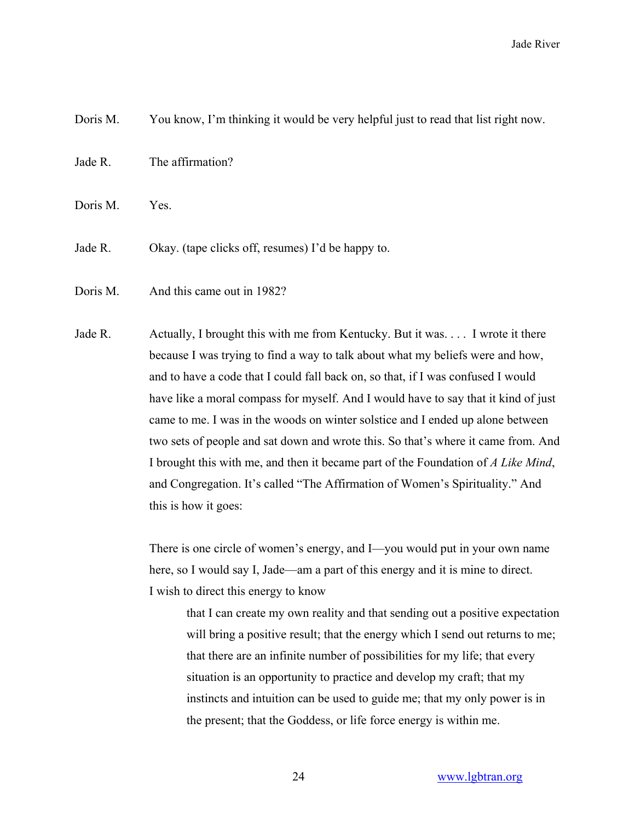Doris M. You know, I'm thinking it would be very helpful just to read that list right now.

Jade R. The affirmation?

Doris M. Yes.

Jade R. Okay. (tape clicks off, resumes) I'd be happy to.

Doris M. And this came out in 1982?

Jade R. Actually, I brought this with me from Kentucky. But it was. . . . I wrote it there because I was trying to find a way to talk about what my beliefs were and how, and to have a code that I could fall back on, so that, if I was confused I would have like a moral compass for myself. And I would have to say that it kind of just came to me. I was in the woods on winter solstice and I ended up alone between two sets of people and sat down and wrote this. So that's where it came from. And I brought this with me, and then it became part of the Foundation of *A Like Mind*, and Congregation. It's called "The Affirmation of Women's Spirituality." And this is how it goes:

> There is one circle of women's energy, and I—you would put in your own name here, so I would say I, Jade—am a part of this energy and it is mine to direct. I wish to direct this energy to know

that I can create my own reality and that sending out a positive expectation will bring a positive result; that the energy which I send out returns to me; that there are an infinite number of possibilities for my life; that every situation is an opportunity to practice and develop my craft; that my instincts and intuition can be used to guide me; that my only power is in the present; that the Goddess, or life force energy is within me.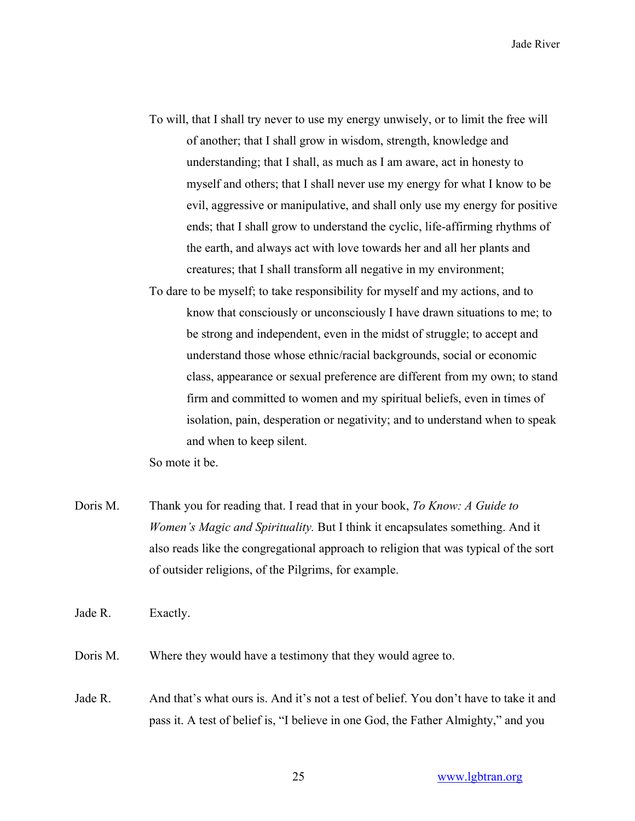- To will, that I shall try never to use my energy unwisely, or to limit the free will of another; that I shall grow in wisdom, strength, knowledge and understanding; that I shall, as much as I am aware, act in honesty to myself and others; that I shall never use my energy for what I know to be evil, aggressive or manipulative, and shall only use my energy for positive ends; that I shall grow to understand the cyclic, life-affirming rhythms of the earth, and always act with love towards her and all her plants and creatures; that I shall transform all negative in my environment;
- To dare to be myself; to take responsibility for myself and my actions, and to know that consciously or unconsciously I have drawn situations to me; to be strong and independent, even in the midst of struggle; to accept and understand those whose ethnic/racial backgrounds, social or economic class, appearance or sexual preference are different from my own; to stand firm and committed to women and my spiritual beliefs, even in times of isolation, pain, desperation or negativity; and to understand when to speak and when to keep silent.

So mote it be.

Doris M. Thank you for reading that. I read that in your book, *To Know: A Guide to Women's Magic and Spirituality.* But I think it encapsulates something. And it also reads like the congregational approach to religion that was typical of the sort of outsider religions, of the Pilgrims, for example.

Jade R. Exactly.

Doris M. Where they would have a testimony that they would agree to.

Jade R. And that's what ours is. And it's not a test of belief. You don't have to take it and pass it. A test of belief is, "I believe in one God, the Father Almighty," and you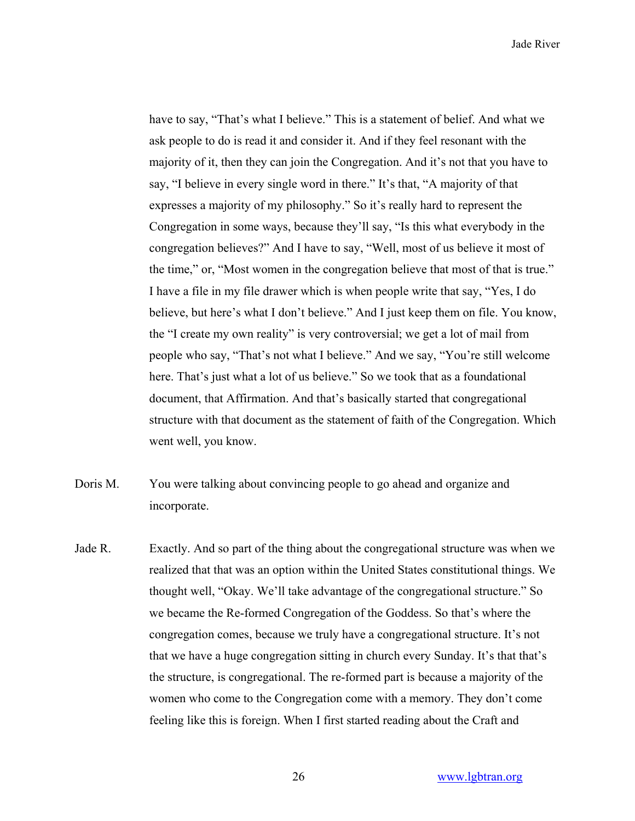have to say, "That's what I believe." This is a statement of belief. And what we ask people to do is read it and consider it. And if they feel resonant with the majority of it, then they can join the Congregation. And it's not that you have to say, "I believe in every single word in there." It's that, "A majority of that expresses a majority of my philosophy." So it's really hard to represent the Congregation in some ways, because they'll say, "Is this what everybody in the congregation believes?" And I have to say, "Well, most of us believe it most of the time," or, "Most women in the congregation believe that most of that is true." I have a file in my file drawer which is when people write that say, "Yes, I do believe, but here's what I don't believe." And I just keep them on file. You know, the "I create my own reality" is very controversial; we get a lot of mail from people who say, "That's not what I believe." And we say, "You're still welcome here. That's just what a lot of us believe." So we took that as a foundational document, that Affirmation. And that's basically started that congregational structure with that document as the statement of faith of the Congregation. Which went well, you know.

- Doris M. You were talking about convincing people to go ahead and organize and incorporate.
- Jade R. Exactly. And so part of the thing about the congregational structure was when we realized that that was an option within the United States constitutional things. We thought well, "Okay. We'll take advantage of the congregational structure." So we became the Re-formed Congregation of the Goddess. So that's where the congregation comes, because we truly have a congregational structure. It's not that we have a huge congregation sitting in church every Sunday. It's that that's the structure, is congregational. The re-formed part is because a majority of the women who come to the Congregation come with a memory. They don't come feeling like this is foreign. When I first started reading about the Craft and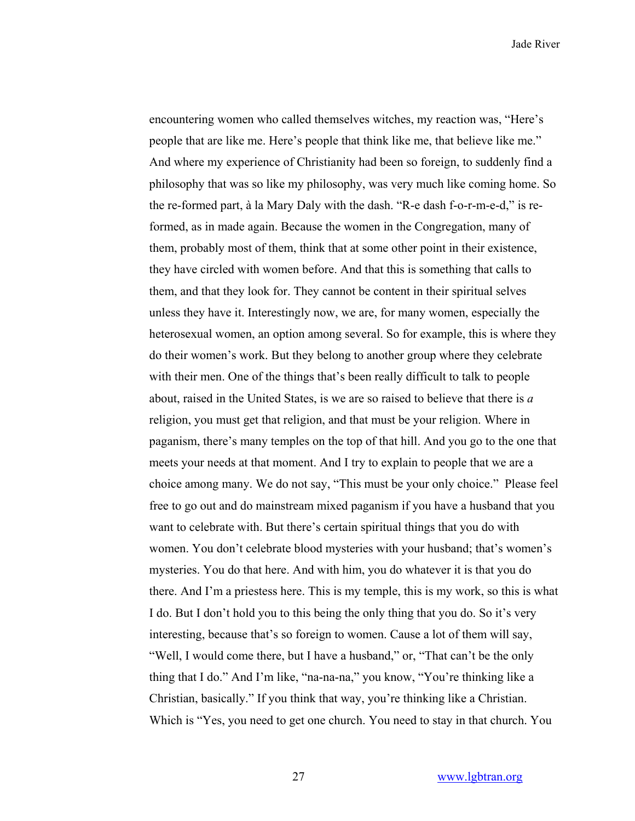encountering women who called themselves witches, my reaction was, "Here's people that are like me. Here's people that think like me, that believe like me." And where my experience of Christianity had been so foreign, to suddenly find a philosophy that was so like my philosophy, was very much like coming home. So the re-formed part, à la Mary Daly with the dash. "R-e dash f-o-r-m-e-d," is reformed, as in made again. Because the women in the Congregation, many of them, probably most of them, think that at some other point in their existence, they have circled with women before. And that this is something that calls to them, and that they look for. They cannot be content in their spiritual selves unless they have it. Interestingly now, we are, for many women, especially the heterosexual women, an option among several. So for example, this is where they do their women's work. But they belong to another group where they celebrate with their men. One of the things that's been really difficult to talk to people about, raised in the United States, is we are so raised to believe that there is *a* religion, you must get that religion, and that must be your religion. Where in paganism, there's many temples on the top of that hill. And you go to the one that meets your needs at that moment. And I try to explain to people that we are a choice among many. We do not say, "This must be your only choice." Please feel free to go out and do mainstream mixed paganism if you have a husband that you want to celebrate with. But there's certain spiritual things that you do with women. You don't celebrate blood mysteries with your husband; that's women's mysteries. You do that here. And with him, you do whatever it is that you do there. And I'm a priestess here. This is my temple, this is my work, so this is what I do. But I don't hold you to this being the only thing that you do. So it's very interesting, because that's so foreign to women. Cause a lot of them will say, "Well, I would come there, but I have a husband," or, "That can't be the only thing that I do." And I'm like, "na-na-na," you know, "You're thinking like a Christian, basically." If you think that way, you're thinking like a Christian. Which is "Yes, you need to get one church. You need to stay in that church. You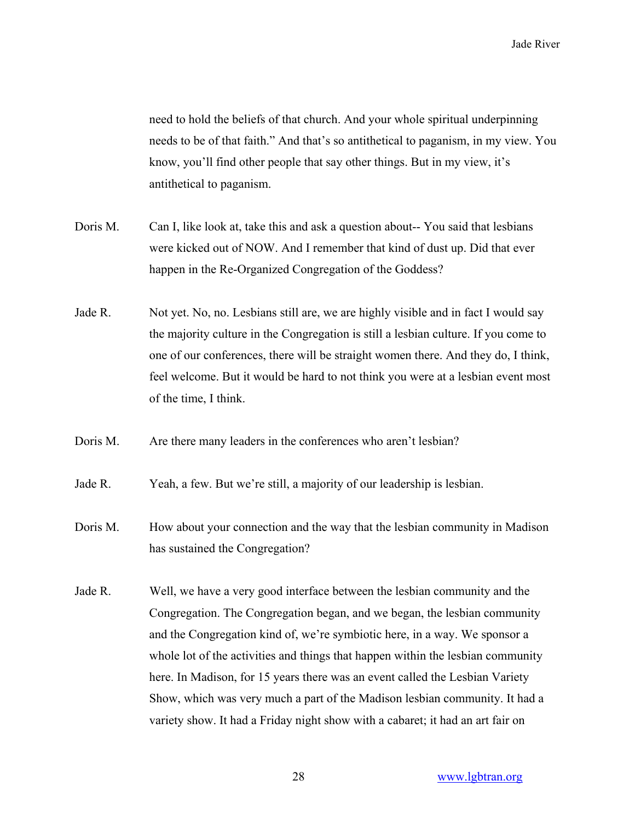need to hold the beliefs of that church. And your whole spiritual underpinning needs to be of that faith." And that's so antithetical to paganism, in my view. You know, you'll find other people that say other things. But in my view, it's antithetical to paganism.

- Doris M. Can I, like look at, take this and ask a question about-- You said that lesbians were kicked out of NOW. And I remember that kind of dust up. Did that ever happen in the Re-Organized Congregation of the Goddess?
- Jade R. Not yet. No, no. Lesbians still are, we are highly visible and in fact I would say the majority culture in the Congregation is still a lesbian culture. If you come to one of our conferences, there will be straight women there. And they do, I think, feel welcome. But it would be hard to not think you were at a lesbian event most of the time, I think.
- Doris M. Are there many leaders in the conferences who aren't lesbian?
- Jade R. Yeah, a few. But we're still, a majority of our leadership is lesbian.
- Doris M. How about your connection and the way that the lesbian community in Madison has sustained the Congregation?
- Jade R. Well, we have a very good interface between the lesbian community and the Congregation. The Congregation began, and we began, the lesbian community and the Congregation kind of, we're symbiotic here, in a way. We sponsor a whole lot of the activities and things that happen within the lesbian community here. In Madison, for 15 years there was an event called the Lesbian Variety Show, which was very much a part of the Madison lesbian community. It had a variety show. It had a Friday night show with a cabaret; it had an art fair on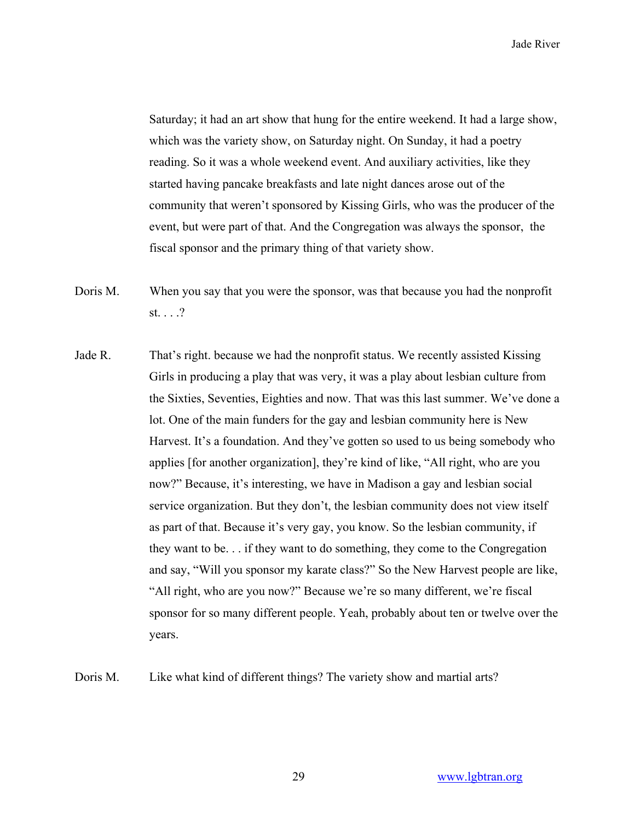Saturday; it had an art show that hung for the entire weekend. It had a large show, which was the variety show, on Saturday night. On Sunday, it had a poetry reading. So it was a whole weekend event. And auxiliary activities, like they started having pancake breakfasts and late night dances arose out of the community that weren't sponsored by Kissing Girls, who was the producer of the event, but were part of that. And the Congregation was always the sponsor, the fiscal sponsor and the primary thing of that variety show.

- Doris M. When you say that you were the sponsor, was that because you had the nonprofit st. . . .?
- Jade R. That's right. because we had the nonprofit status. We recently assisted Kissing Girls in producing a play that was very, it was a play about lesbian culture from the Sixties, Seventies, Eighties and now. That was this last summer. We've done a lot. One of the main funders for the gay and lesbian community here is New Harvest. It's a foundation. And they've gotten so used to us being somebody who applies [for another organization], they're kind of like, "All right, who are you now?" Because, it's interesting, we have in Madison a gay and lesbian social service organization. But they don't, the lesbian community does not view itself as part of that. Because it's very gay, you know. So the lesbian community, if they want to be. . . if they want to do something, they come to the Congregation and say, "Will you sponsor my karate class?" So the New Harvest people are like, "All right, who are you now?" Because we're so many different, we're fiscal sponsor for so many different people. Yeah, probably about ten or twelve over the years.

Doris M. Like what kind of different things? The variety show and martial arts?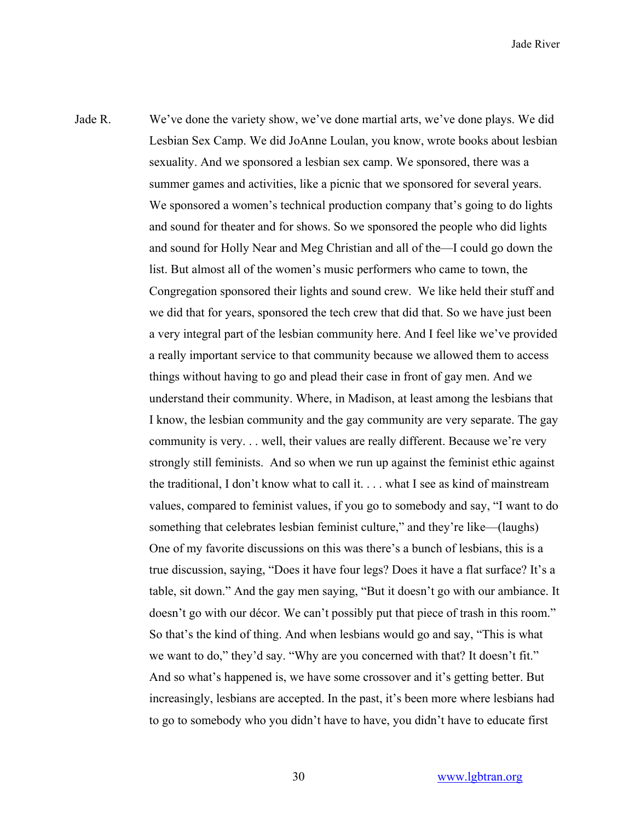Jade R. We've done the variety show, we've done martial arts, we've done plays. We did Lesbian Sex Camp. We did JoAnne Loulan, you know, wrote books about lesbian sexuality. And we sponsored a lesbian sex camp. We sponsored, there was a summer games and activities, like a picnic that we sponsored for several years. We sponsored a women's technical production company that's going to do lights and sound for theater and for shows. So we sponsored the people who did lights and sound for Holly Near and Meg Christian and all of the—I could go down the list. But almost all of the women's music performers who came to town, the Congregation sponsored their lights and sound crew. We like held their stuff and we did that for years, sponsored the tech crew that did that. So we have just been a very integral part of the lesbian community here. And I feel like we've provided a really important service to that community because we allowed them to access things without having to go and plead their case in front of gay men. And we understand their community. Where, in Madison, at least among the lesbians that I know, the lesbian community and the gay community are very separate. The gay community is very. . . well, their values are really different. Because we're very strongly still feminists. And so when we run up against the feminist ethic against the traditional, I don't know what to call it. . . . what I see as kind of mainstream values, compared to feminist values, if you go to somebody and say, "I want to do something that celebrates lesbian feminist culture," and they're like—(laughs) One of my favorite discussions on this was there's a bunch of lesbians, this is a true discussion, saying, "Does it have four legs? Does it have a flat surface? It's a table, sit down." And the gay men saying, "But it doesn't go with our ambiance. It doesn't go with our décor. We can't possibly put that piece of trash in this room." So that's the kind of thing. And when lesbians would go and say, "This is what we want to do," they'd say. "Why are you concerned with that? It doesn't fit." And so what's happened is, we have some crossover and it's getting better. But increasingly, lesbians are accepted. In the past, it's been more where lesbians had to go to somebody who you didn't have to have, you didn't have to educate first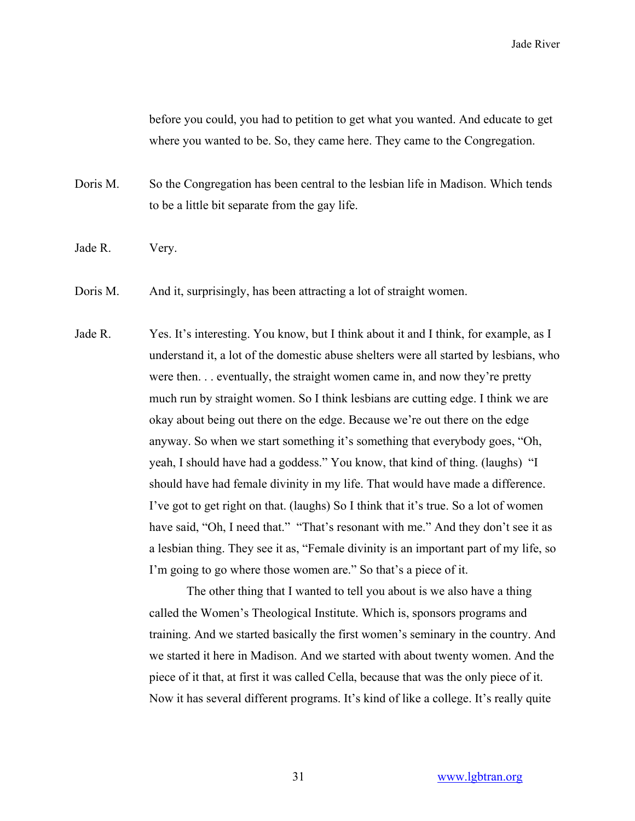before you could, you had to petition to get what you wanted. And educate to get where you wanted to be. So, they came here. They came to the Congregation.

Doris M. So the Congregation has been central to the lesbian life in Madison. Which tends to be a little bit separate from the gay life.

- Jade R. Very.
- Doris M. And it, surprisingly, has been attracting a lot of straight women.
- Jade R. Yes. It's interesting. You know, but I think about it and I think, for example, as I understand it, a lot of the domestic abuse shelters were all started by lesbians, who were then. . . eventually, the straight women came in, and now they're pretty much run by straight women. So I think lesbians are cutting edge. I think we are okay about being out there on the edge. Because we're out there on the edge anyway. So when we start something it's something that everybody goes, "Oh, yeah, I should have had a goddess." You know, that kind of thing. (laughs) "I should have had female divinity in my life. That would have made a difference. I've got to get right on that. (laughs) So I think that it's true. So a lot of women have said, "Oh, I need that." "That's resonant with me." And they don't see it as a lesbian thing. They see it as, "Female divinity is an important part of my life, so I'm going to go where those women are." So that's a piece of it.

The other thing that I wanted to tell you about is we also have a thing called the Women's Theological Institute. Which is, sponsors programs and training. And we started basically the first women's seminary in the country. And we started it here in Madison. And we started with about twenty women. And the piece of it that, at first it was called Cella, because that was the only piece of it. Now it has several different programs. It's kind of like a college. It's really quite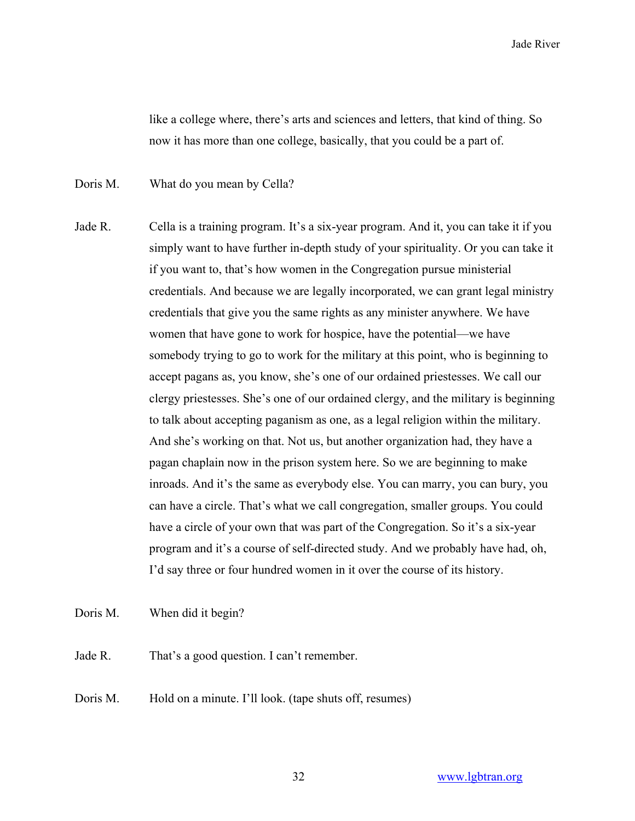like a college where, there's arts and sciences and letters, that kind of thing. So now it has more than one college, basically, that you could be a part of.

Doris M. What do you mean by Cella?

Jade R. Cella is a training program. It's a six-year program. And it, you can take it if you simply want to have further in-depth study of your spirituality. Or you can take it if you want to, that's how women in the Congregation pursue ministerial credentials. And because we are legally incorporated, we can grant legal ministry credentials that give you the same rights as any minister anywhere. We have women that have gone to work for hospice, have the potential—we have somebody trying to go to work for the military at this point, who is beginning to accept pagans as, you know, she's one of our ordained priestesses. We call our clergy priestesses. She's one of our ordained clergy, and the military is beginning to talk about accepting paganism as one, as a legal religion within the military. And she's working on that. Not us, but another organization had, they have a pagan chaplain now in the prison system here. So we are beginning to make inroads. And it's the same as everybody else. You can marry, you can bury, you can have a circle. That's what we call congregation, smaller groups. You could have a circle of your own that was part of the Congregation. So it's a six-year program and it's a course of self-directed study. And we probably have had, oh, I'd say three or four hundred women in it over the course of its history.

Doris M. When did it begin?

Jade R. That's a good question. I can't remember.

Doris M. Hold on a minute. I'll look. (tape shuts off, resumes)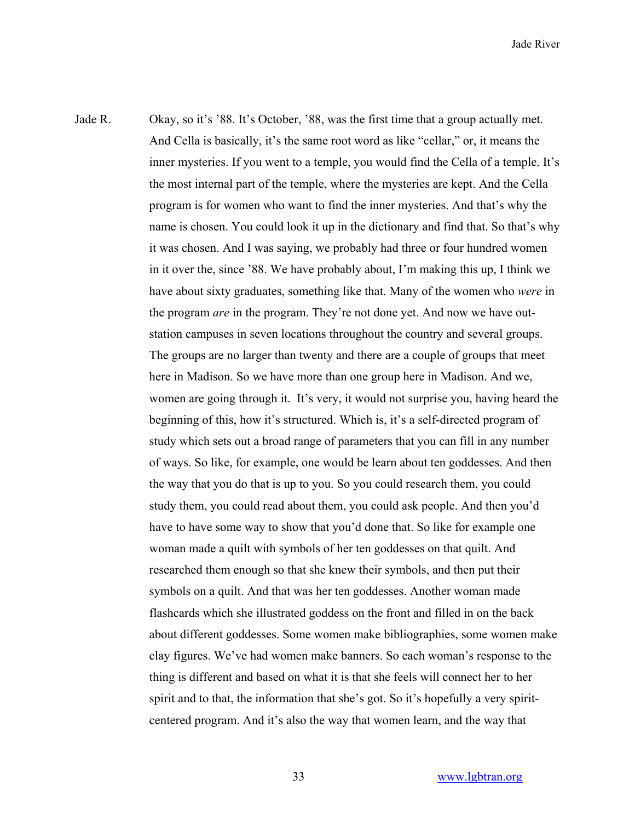Jade R. Okay, so it's '88. It's October, '88, was the first time that a group actually met. And Cella is basically, it's the same root word as like "cellar," or, it means the inner mysteries. If you went to a temple, you would find the Cella of a temple. It's the most internal part of the temple, where the mysteries are kept. And the Cella program is for women who want to find the inner mysteries. And that's why the name is chosen. You could look it up in the dictionary and find that. So that's why it was chosen. And I was saying, we probably had three or four hundred women in it over the, since '88. We have probably about, I'm making this up, I think we have about sixty graduates, something like that. Many of the women who *were* in the program *are* in the program. They're not done yet. And now we have outstation campuses in seven locations throughout the country and several groups. The groups are no larger than twenty and there are a couple of groups that meet here in Madison. So we have more than one group here in Madison. And we, women are going through it. It's very, it would not surprise you, having heard the beginning of this, how it's structured. Which is, it's a self-directed program of study which sets out a broad range of parameters that you can fill in any number of ways. So like, for example, one would be learn about ten goddesses. And then the way that you do that is up to you. So you could research them, you could study them, you could read about them, you could ask people. And then you'd have to have some way to show that you'd done that. So like for example one woman made a quilt with symbols of her ten goddesses on that quilt. And researched them enough so that she knew their symbols, and then put their symbols on a quilt. And that was her ten goddesses. Another woman made flashcards which she illustrated goddess on the front and filled in on the back about different goddesses. Some women make bibliographies, some women make clay figures. We've had women make banners. So each woman's response to the thing is different and based on what it is that she feels will connect her to her spirit and to that, the information that she's got. So it's hopefully a very spiritcentered program. And it's also the way that women learn, and the way that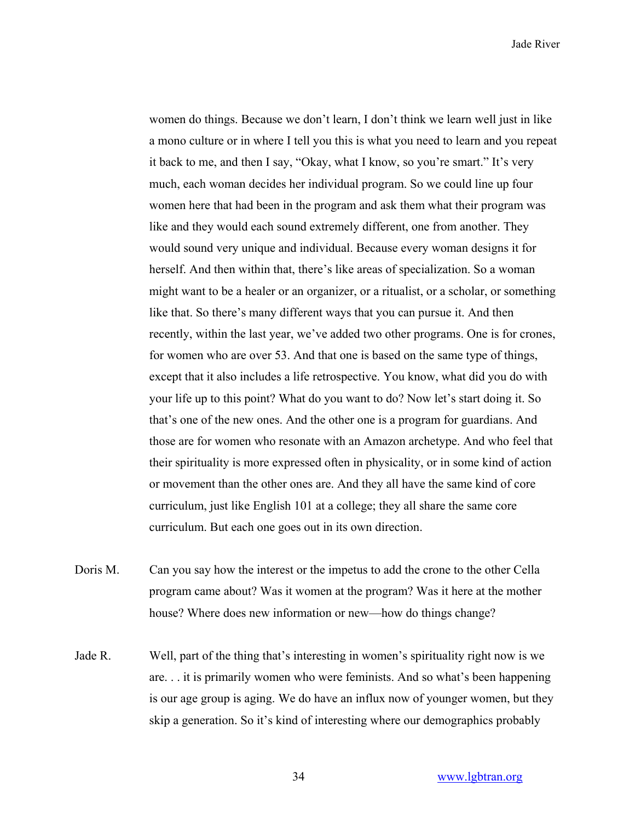women do things. Because we don't learn, I don't think we learn well just in like a mono culture or in where I tell you this is what you need to learn and you repeat it back to me, and then I say, "Okay, what I know, so you're smart." It's very much, each woman decides her individual program. So we could line up four women here that had been in the program and ask them what their program was like and they would each sound extremely different, one from another. They would sound very unique and individual. Because every woman designs it for herself. And then within that, there's like areas of specialization. So a woman might want to be a healer or an organizer, or a ritualist, or a scholar, or something like that. So there's many different ways that you can pursue it. And then recently, within the last year, we've added two other programs. One is for crones, for women who are over 53. And that one is based on the same type of things, except that it also includes a life retrospective. You know, what did you do with your life up to this point? What do you want to do? Now let's start doing it. So that's one of the new ones. And the other one is a program for guardians. And those are for women who resonate with an Amazon archetype. And who feel that their spirituality is more expressed often in physicality, or in some kind of action or movement than the other ones are. And they all have the same kind of core curriculum, just like English 101 at a college; they all share the same core curriculum. But each one goes out in its own direction.

- Doris M. Can you say how the interest or the impetus to add the crone to the other Cella program came about? Was it women at the program? Was it here at the mother house? Where does new information or new—how do things change?
- Jade R. Well, part of the thing that's interesting in women's spirituality right now is we are. . . it is primarily women who were feminists. And so what's been happening is our age group is aging. We do have an influx now of younger women, but they skip a generation. So it's kind of interesting where our demographics probably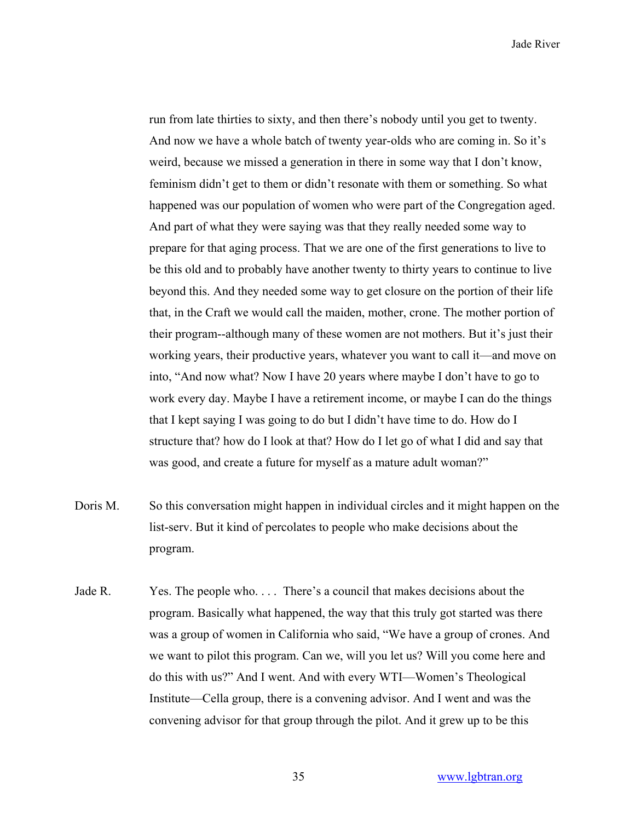run from late thirties to sixty, and then there's nobody until you get to twenty. And now we have a whole batch of twenty year-olds who are coming in. So it's weird, because we missed a generation in there in some way that I don't know, feminism didn't get to them or didn't resonate with them or something. So what happened was our population of women who were part of the Congregation aged. And part of what they were saying was that they really needed some way to prepare for that aging process. That we are one of the first generations to live to be this old and to probably have another twenty to thirty years to continue to live beyond this. And they needed some way to get closure on the portion of their life that, in the Craft we would call the maiden, mother, crone. The mother portion of their program--although many of these women are not mothers. But it's just their working years, their productive years, whatever you want to call it—and move on into, "And now what? Now I have 20 years where maybe I don't have to go to work every day. Maybe I have a retirement income, or maybe I can do the things that I kept saying I was going to do but I didn't have time to do. How do I structure that? how do I look at that? How do I let go of what I did and say that was good, and create a future for myself as a mature adult woman?"

- Doris M. So this conversation might happen in individual circles and it might happen on the list-serv. But it kind of percolates to people who make decisions about the program.
- Jade R. Yes. The people who. . . . There's a council that makes decisions about the program. Basically what happened, the way that this truly got started was there was a group of women in California who said, "We have a group of crones. And we want to pilot this program. Can we, will you let us? Will you come here and do this with us?" And I went. And with every WTI—Women's Theological Institute—Cella group, there is a convening advisor. And I went and was the convening advisor for that group through the pilot. And it grew up to be this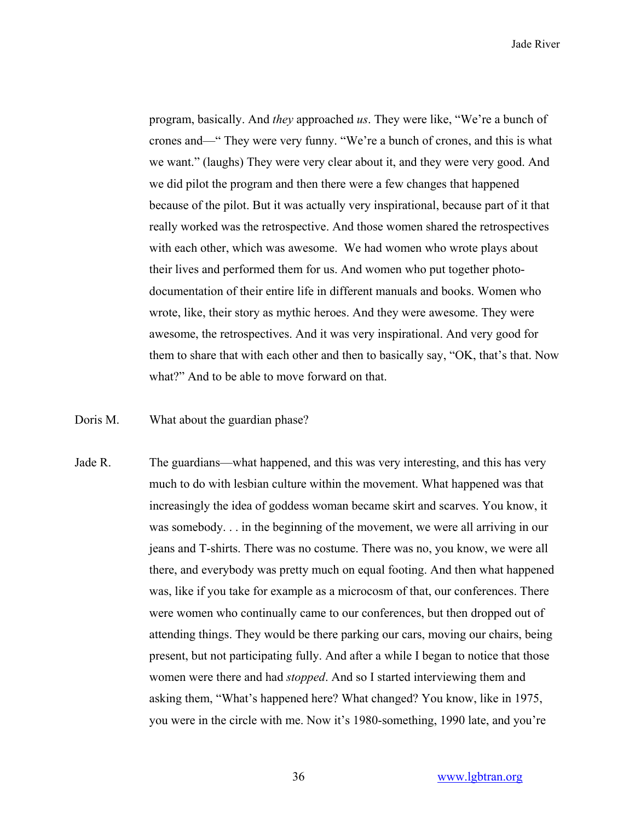program, basically. And *they* approached *us*. They were like, "We're a bunch of crones and—" They were very funny. "We're a bunch of crones, and this is what we want." (laughs) They were very clear about it, and they were very good. And we did pilot the program and then there were a few changes that happened because of the pilot. But it was actually very inspirational, because part of it that really worked was the retrospective. And those women shared the retrospectives with each other, which was awesome. We had women who wrote plays about their lives and performed them for us. And women who put together photodocumentation of their entire life in different manuals and books. Women who wrote, like, their story as mythic heroes. And they were awesome. They were awesome, the retrospectives. And it was very inspirational. And very good for them to share that with each other and then to basically say, "OK, that's that. Now what?" And to be able to move forward on that.

## Doris M. What about the guardian phase?

Jade R. The guardians—what happened, and this was very interesting, and this has very much to do with lesbian culture within the movement. What happened was that increasingly the idea of goddess woman became skirt and scarves. You know, it was somebody. . . in the beginning of the movement, we were all arriving in our jeans and T-shirts. There was no costume. There was no, you know, we were all there, and everybody was pretty much on equal footing. And then what happened was, like if you take for example as a microcosm of that, our conferences. There were women who continually came to our conferences, but then dropped out of attending things. They would be there parking our cars, moving our chairs, being present, but not participating fully. And after a while I began to notice that those women were there and had *stopped*. And so I started interviewing them and asking them, "What's happened here? What changed? You know, like in 1975, you were in the circle with me. Now it's 1980-something, 1990 late, and you're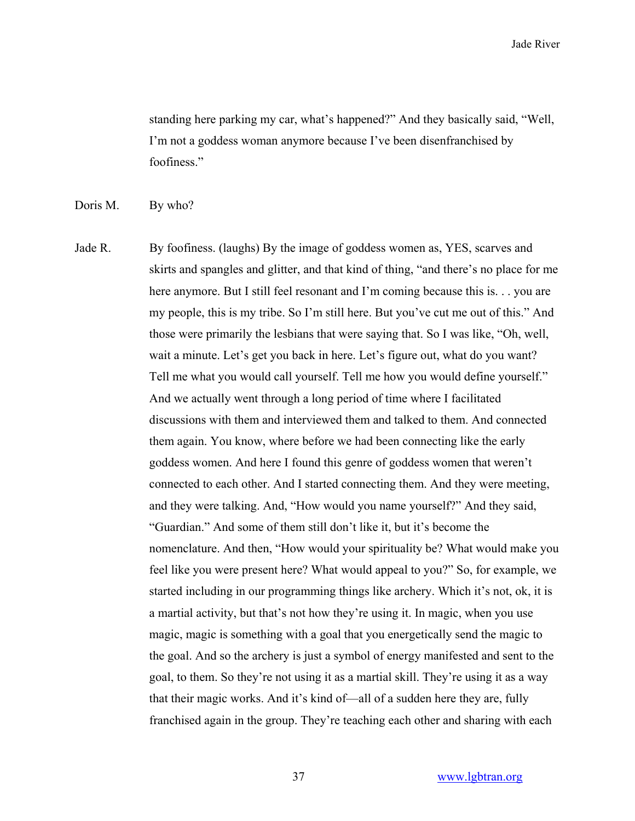standing here parking my car, what's happened?" And they basically said, "Well, I'm not a goddess woman anymore because I've been disenfranchised by foofiness."

Doris M. By who?

Jade R. By foofiness. (laughs) By the image of goddess women as, YES, scarves and skirts and spangles and glitter, and that kind of thing, "and there's no place for me here anymore. But I still feel resonant and I'm coming because this is. . . you are my people, this is my tribe. So I'm still here. But you've cut me out of this." And those were primarily the lesbians that were saying that. So I was like, "Oh, well, wait a minute. Let's get you back in here. Let's figure out, what do you want? Tell me what you would call yourself. Tell me how you would define yourself." And we actually went through a long period of time where I facilitated discussions with them and interviewed them and talked to them. And connected them again. You know, where before we had been connecting like the early goddess women. And here I found this genre of goddess women that weren't connected to each other. And I started connecting them. And they were meeting, and they were talking. And, "How would you name yourself?" And they said, "Guardian." And some of them still don't like it, but it's become the nomenclature. And then, "How would your spirituality be? What would make you feel like you were present here? What would appeal to you?" So, for example, we started including in our programming things like archery. Which it's not, ok, it is a martial activity, but that's not how they're using it. In magic, when you use magic, magic is something with a goal that you energetically send the magic to the goal. And so the archery is just a symbol of energy manifested and sent to the goal, to them. So they're not using it as a martial skill. They're using it as a way that their magic works. And it's kind of—all of a sudden here they are, fully franchised again in the group. They're teaching each other and sharing with each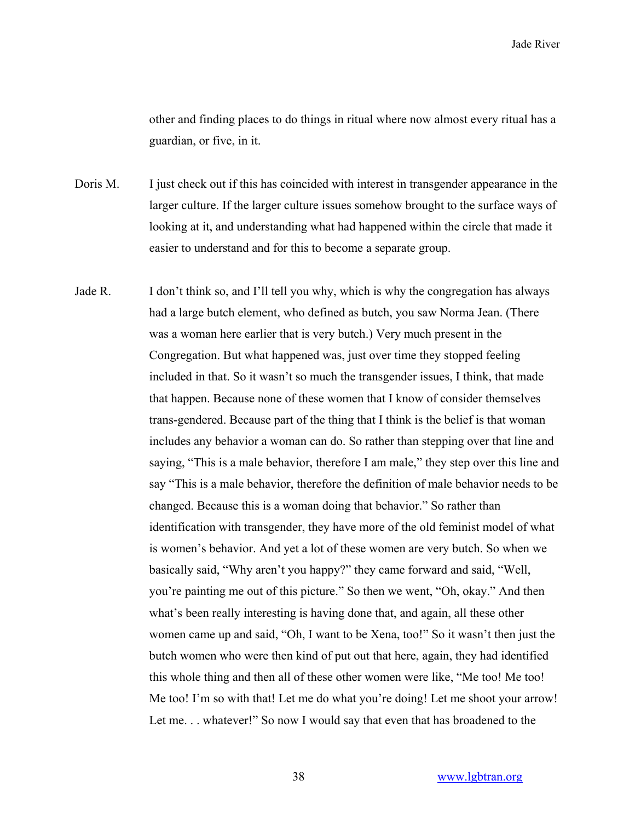other and finding places to do things in ritual where now almost every ritual has a guardian, or five, in it.

Doris M. I just check out if this has coincided with interest in transgender appearance in the larger culture. If the larger culture issues somehow brought to the surface ways of looking at it, and understanding what had happened within the circle that made it easier to understand and for this to become a separate group.

Jade R. I don't think so, and I'll tell you why, which is why the congregation has always had a large butch element, who defined as butch, you saw Norma Jean. (There was a woman here earlier that is very butch.) Very much present in the Congregation. But what happened was, just over time they stopped feeling included in that. So it wasn't so much the transgender issues, I think, that made that happen. Because none of these women that I know of consider themselves trans-gendered. Because part of the thing that I think is the belief is that woman includes any behavior a woman can do. So rather than stepping over that line and saying, "This is a male behavior, therefore I am male," they step over this line and say "This is a male behavior, therefore the definition of male behavior needs to be changed. Because this is a woman doing that behavior." So rather than identification with transgender, they have more of the old feminist model of what is women's behavior. And yet a lot of these women are very butch. So when we basically said, "Why aren't you happy?" they came forward and said, "Well, you're painting me out of this picture." So then we went, "Oh, okay." And then what's been really interesting is having done that, and again, all these other women came up and said, "Oh, I want to be Xena, too!" So it wasn't then just the butch women who were then kind of put out that here, again, they had identified this whole thing and then all of these other women were like, "Me too! Me too! Me too! I'm so with that! Let me do what you're doing! Let me shoot your arrow! Let me... whatever!" So now I would say that even that has broadened to the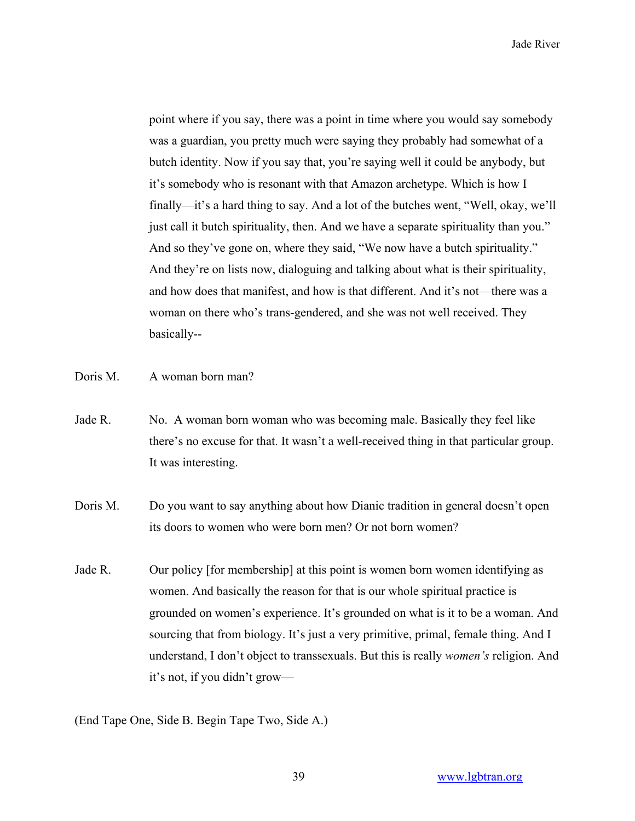point where if you say, there was a point in time where you would say somebody was a guardian, you pretty much were saying they probably had somewhat of a butch identity. Now if you say that, you're saying well it could be anybody, but it's somebody who is resonant with that Amazon archetype. Which is how I finally—it's a hard thing to say. And a lot of the butches went, "Well, okay, we'll just call it butch spirituality, then. And we have a separate spirituality than you." And so they've gone on, where they said, "We now have a butch spirituality." And they're on lists now, dialoguing and talking about what is their spirituality, and how does that manifest, and how is that different. And it's not—there was a woman on there who's trans-gendered, and she was not well received. They basically--

- Doris M. A woman born man?
- Jade R. No. A woman born woman who was becoming male. Basically they feel like there's no excuse for that. It wasn't a well-received thing in that particular group. It was interesting.
- Doris M. Do you want to say anything about how Dianic tradition in general doesn't open its doors to women who were born men? Or not born women?
- Jade R. Our policy [for membership] at this point is women born women identifying as women. And basically the reason for that is our whole spiritual practice is grounded on women's experience. It's grounded on what is it to be a woman. And sourcing that from biology. It's just a very primitive, primal, female thing. And I understand, I don't object to transsexuals. But this is really *women's* religion. And it's not, if you didn't grow—

(End Tape One, Side B. Begin Tape Two, Side A.)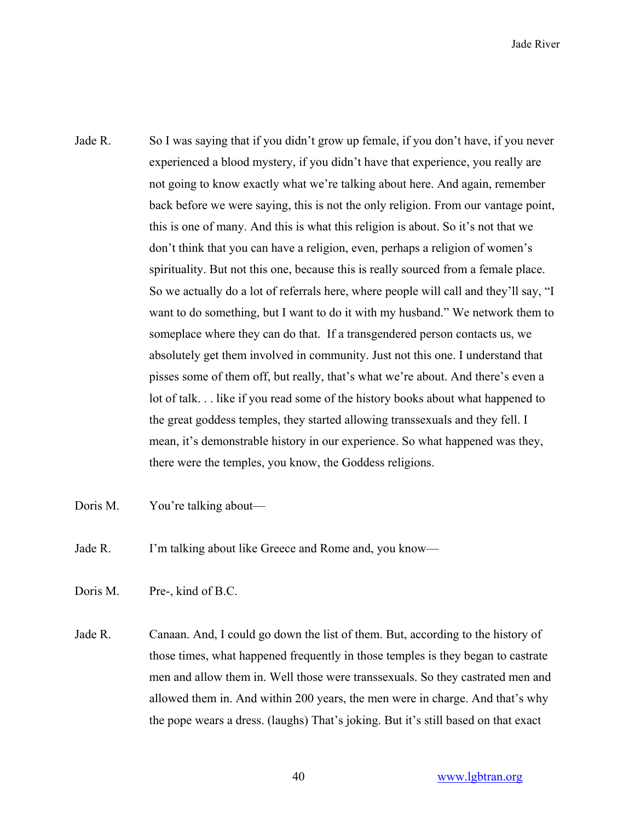- Jade R. So I was saying that if you didn't grow up female, if you don't have, if you never experienced a blood mystery, if you didn't have that experience, you really are not going to know exactly what we're talking about here. And again, remember back before we were saying, this is not the only religion. From our vantage point, this is one of many. And this is what this religion is about. So it's not that we don't think that you can have a religion, even, perhaps a religion of women's spirituality. But not this one, because this is really sourced from a female place. So we actually do a lot of referrals here, where people will call and they'll say, "I want to do something, but I want to do it with my husband." We network them to someplace where they can do that. If a transgendered person contacts us, we absolutely get them involved in community. Just not this one. I understand that pisses some of them off, but really, that's what we're about. And there's even a lot of talk. . . like if you read some of the history books about what happened to the great goddess temples, they started allowing transsexuals and they fell. I mean, it's demonstrable history in our experience. So what happened was they, there were the temples, you know, the Goddess religions.
- Doris M. You're talking about—
- Jade R. I'm talking about like Greece and Rome and, you know—

Doris M. Pre-, kind of B.C.

Jade R. Canaan. And, I could go down the list of them. But, according to the history of those times, what happened frequently in those temples is they began to castrate men and allow them in. Well those were transsexuals. So they castrated men and allowed them in. And within 200 years, the men were in charge. And that's why the pope wears a dress. (laughs) That's joking. But it's still based on that exact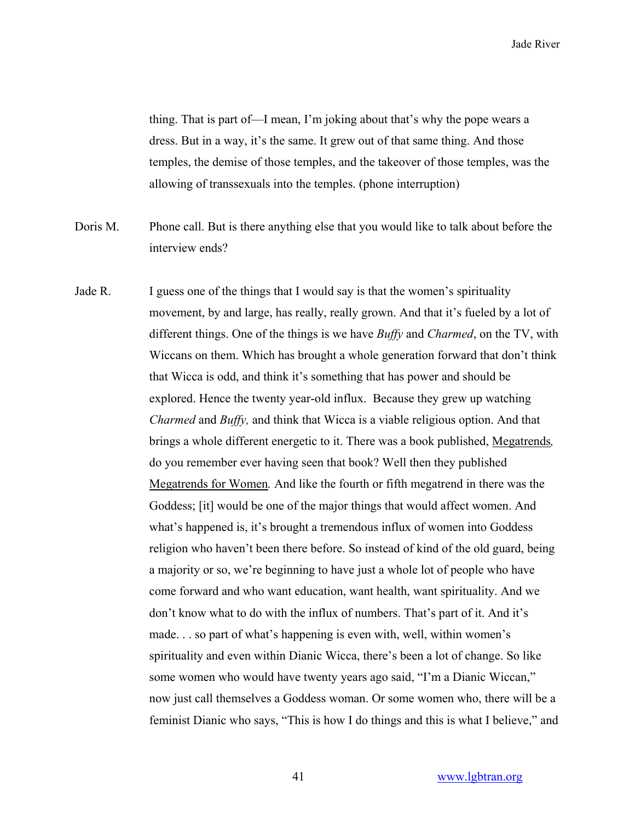thing. That is part of—I mean, I'm joking about that's why the pope wears a dress. But in a way, it's the same. It grew out of that same thing. And those temples, the demise of those temples, and the takeover of those temples, was the allowing of transsexuals into the temples. (phone interruption)

- Doris M. Phone call. But is there anything else that you would like to talk about before the interview ends?
- Jade R. I guess one of the things that I would say is that the women's spirituality movement, by and large, has really, really grown. And that it's fueled by a lot of different things. One of the things is we have *Buffy* and *Charmed*, on the TV, with Wiccans on them. Which has brought a whole generation forward that don't think that Wicca is odd, and think it's something that has power and should be explored. Hence the twenty year-old influx. Because they grew up watching *Charmed* and *Buffy,* and think that Wicca is a viable religious option. And that brings a whole different energetic to it. There was a book published, Megatrends*,* do you remember ever having seen that book? Well then they published Megatrends for Women*.* And like the fourth or fifth megatrend in there was the Goddess; [it] would be one of the major things that would affect women. And what's happened is, it's brought a tremendous influx of women into Goddess religion who haven't been there before. So instead of kind of the old guard, being a majority or so, we're beginning to have just a whole lot of people who have come forward and who want education, want health, want spirituality. And we don't know what to do with the influx of numbers. That's part of it. And it's made. . . so part of what's happening is even with, well, within women's spirituality and even within Dianic Wicca, there's been a lot of change. So like some women who would have twenty years ago said, "I'm a Dianic Wiccan," now just call themselves a Goddess woman. Or some women who, there will be a feminist Dianic who says, "This is how I do things and this is what I believe," and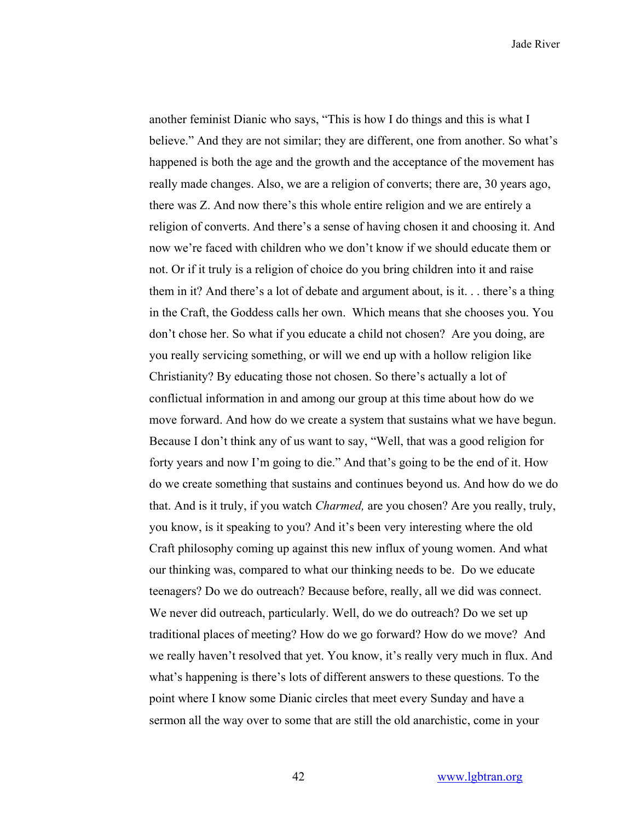another feminist Dianic who says, "This is how I do things and this is what I believe." And they are not similar; they are different, one from another. So what's happened is both the age and the growth and the acceptance of the movement has really made changes. Also, we are a religion of converts; there are, 30 years ago, there was Z. And now there's this whole entire religion and we are entirely a religion of converts. And there's a sense of having chosen it and choosing it. And now we're faced with children who we don't know if we should educate them or not. Or if it truly is a religion of choice do you bring children into it and raise them in it? And there's a lot of debate and argument about, is it. . . there's a thing in the Craft, the Goddess calls her own. Which means that she chooses you. You don't chose her. So what if you educate a child not chosen? Are you doing, are you really servicing something, or will we end up with a hollow religion like Christianity? By educating those not chosen. So there's actually a lot of conflictual information in and among our group at this time about how do we move forward. And how do we create a system that sustains what we have begun. Because I don't think any of us want to say, "Well, that was a good religion for forty years and now I'm going to die." And that's going to be the end of it. How do we create something that sustains and continues beyond us. And how do we do that. And is it truly, if you watch *Charmed,* are you chosen? Are you really, truly, you know, is it speaking to you? And it's been very interesting where the old Craft philosophy coming up against this new influx of young women. And what our thinking was, compared to what our thinking needs to be. Do we educate teenagers? Do we do outreach? Because before, really, all we did was connect. We never did outreach, particularly. Well, do we do outreach? Do we set up traditional places of meeting? How do we go forward? How do we move? And we really haven't resolved that yet. You know, it's really very much in flux. And what's happening is there's lots of different answers to these questions. To the point where I know some Dianic circles that meet every Sunday and have a sermon all the way over to some that are still the old anarchistic, come in your